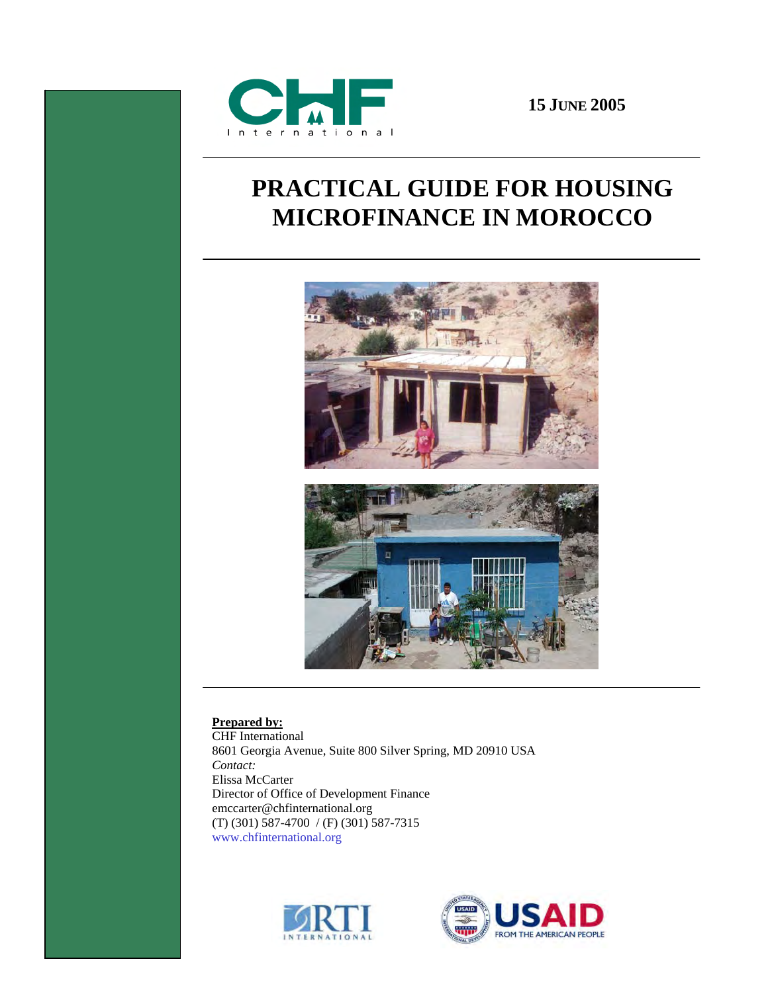

**15 JUNE 2005** 

# **PRACTICAL GUIDE FOR HOUSING MICROFINANCE IN MOROCCO**



**Prepared by:**

CHF International 8601 Georgia Avenue, Suite 800 Silver Spring, MD 20910 USA *Contact:*  Elissa McCarter Director of Office of Development Finance emccarter@chfinternational.org (T) (301) 587-4700 / (F) (301) 587-7315 www.chfinternational.org



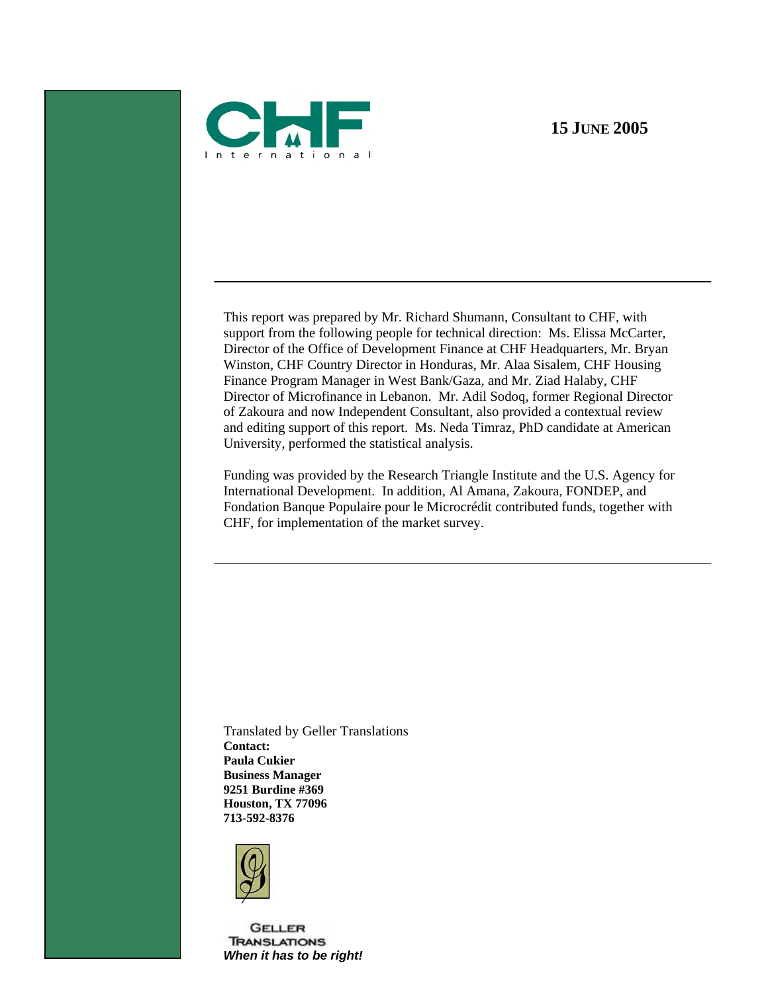**15 JUNE 2005** 



This report was prepared by Mr. Richard Shumann, Consultant to CHF, with support from the following people for technical direction: Ms. Elissa McCarter, Director of the Office of Development Finance at CHF Headquarters, Mr. Bryan Winston, CHF Country Director in Honduras, Mr. Alaa Sisalem, CHF Housing Finance Program Manager in West Bank/Gaza, and Mr. Ziad Halaby, CHF Director of Microfinance in Lebanon. Mr. Adil Sodoq, former Regional Director of Zakoura and now Independent Consultant, also provided a contextual review and editing support of this report. Ms. Neda Timraz, PhD candidate at American University, performed the statistical analysis.

Funding was provided by the Research Triangle Institute and the U.S. Agency for International Development. In addition, Al Amana, Zakoura, FONDEP, and Fondation Banque Populaire pour le Microcrédit contributed funds, together with CHF, for implementation of the market survey.

Translated by Geller Translations **Contact: Paula Cukier Business Manager 9251 Burdine #369 Houston, TX 77096 713-592-8376** 



**GELLER TRANSLATIONS** *When it has to be right!*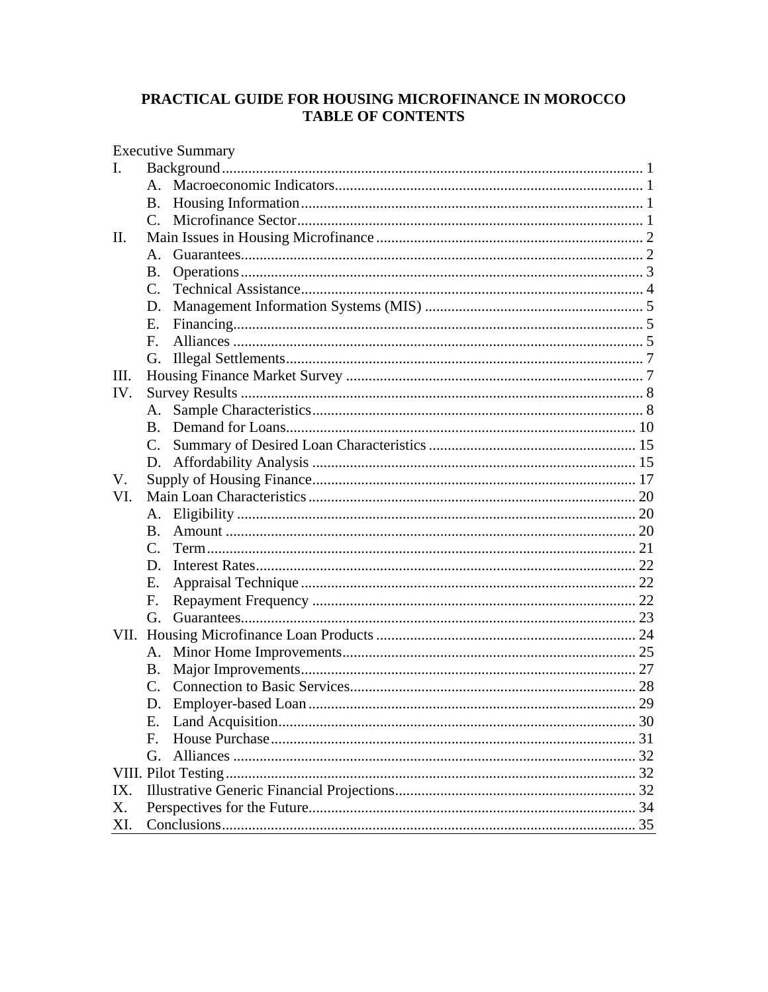### PRACTICAL GUIDE FOR HOUSING MICROFINANCE IN MOROCCO **TABLE OF CONTENTS**

|              | <b>Executive Summary</b>   |  |
|--------------|----------------------------|--|
| $\mathbf{L}$ |                            |  |
|              | $A_{-}$                    |  |
|              | B.                         |  |
|              | $\mathcal{C}$ .            |  |
| II.          |                            |  |
|              | $\mathsf{A}$ .             |  |
|              | <b>B.</b>                  |  |
|              | C.                         |  |
|              | D.                         |  |
|              | E.                         |  |
|              | $F_{\cdot}$                |  |
|              | G.                         |  |
| Ш.           |                            |  |
| IV.          |                            |  |
|              | A.                         |  |
|              | $B_{-}$                    |  |
|              | $\mathcal{C}$ .            |  |
|              | D.                         |  |
| V.           |                            |  |
| VI.          |                            |  |
|              | A.                         |  |
|              | $\bf{B}$ .                 |  |
|              | $\mathcal{C}$ .            |  |
|              | D.                         |  |
|              | Ε.                         |  |
|              | $F_{\cdot}$                |  |
|              | G.                         |  |
|              |                            |  |
|              | A.                         |  |
|              | <b>B.</b>                  |  |
|              | C.                         |  |
|              | Employer-based Loan.<br>D. |  |
|              | Е.                         |  |
|              | $F_{\cdot}$                |  |
|              | G.                         |  |
|              |                            |  |
| IX.          |                            |  |
| X.           |                            |  |
| XI.          |                            |  |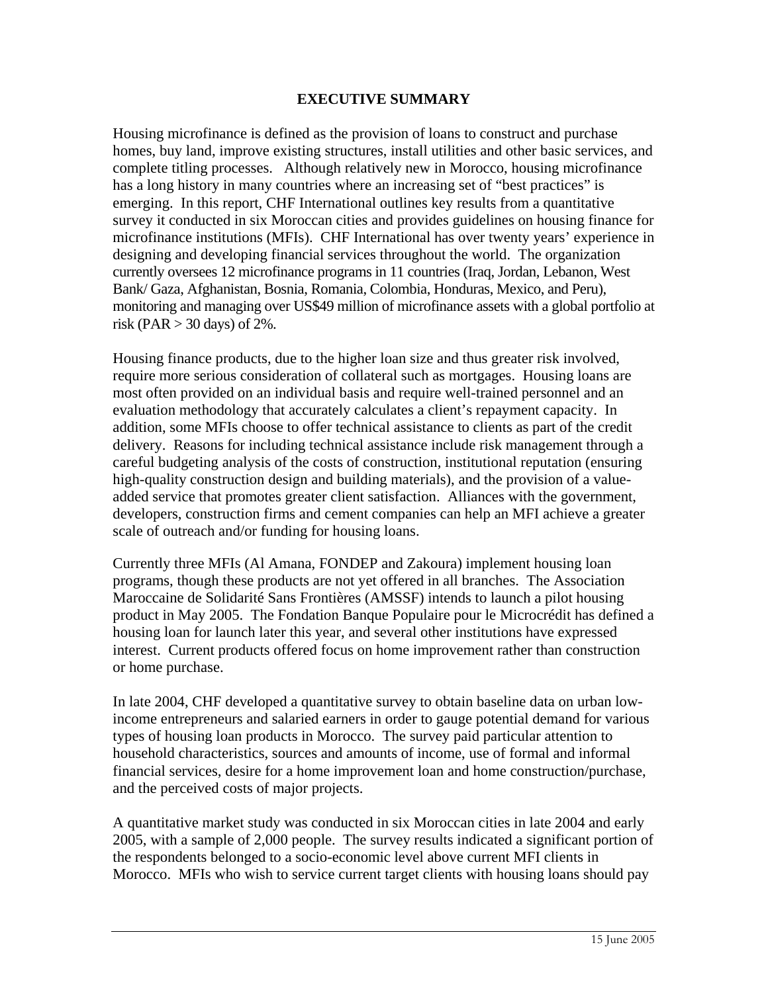#### **EXECUTIVE SUMMARY**

Housing microfinance is defined as the provision of loans to construct and purchase homes, buy land, improve existing structures, install utilities and other basic services, and complete titling processes. Although relatively new in Morocco, housing microfinance has a long history in many countries where an increasing set of "best practices" is emerging. In this report, CHF International outlines key results from a quantitative survey it conducted in six Moroccan cities and provides guidelines on housing finance for microfinance institutions (MFIs). CHF International has over twenty years' experience in designing and developing financial services throughout the world. The organization currently oversees 12 microfinance programs in 11 countries (Iraq, Jordan, Lebanon, West Bank/ Gaza, Afghanistan, Bosnia, Romania, Colombia, Honduras, Mexico, and Peru), monitoring and managing over US\$49 million of microfinance assets with a global portfolio at risk (PAR  $>$  30 days) of 2%.

Housing finance products, due to the higher loan size and thus greater risk involved, require more serious consideration of collateral such as mortgages. Housing loans are most often provided on an individual basis and require well-trained personnel and an evaluation methodology that accurately calculates a client's repayment capacity. In addition, some MFIs choose to offer technical assistance to clients as part of the credit delivery. Reasons for including technical assistance include risk management through a careful budgeting analysis of the costs of construction, institutional reputation (ensuring high-quality construction design and building materials), and the provision of a valueadded service that promotes greater client satisfaction. Alliances with the government, developers, construction firms and cement companies can help an MFI achieve a greater scale of outreach and/or funding for housing loans.

Currently three MFIs (Al Amana, FONDEP and Zakoura) implement housing loan programs, though these products are not yet offered in all branches. The Association Maroccaine de Solidarité Sans Frontières (AMSSF) intends to launch a pilot housing product in May 2005. The Fondation Banque Populaire pour le Microcrédit has defined a housing loan for launch later this year, and several other institutions have expressed interest. Current products offered focus on home improvement rather than construction or home purchase.

In late 2004, CHF developed a quantitative survey to obtain baseline data on urban lowincome entrepreneurs and salaried earners in order to gauge potential demand for various types of housing loan products in Morocco. The survey paid particular attention to household characteristics, sources and amounts of income, use of formal and informal financial services, desire for a home improvement loan and home construction/purchase, and the perceived costs of major projects.

A quantitative market study was conducted in six Moroccan cities in late 2004 and early 2005, with a sample of 2,000 people. The survey results indicated a significant portion of the respondents belonged to a socio-economic level above current MFI clients in Morocco. MFIs who wish to service current target clients with housing loans should pay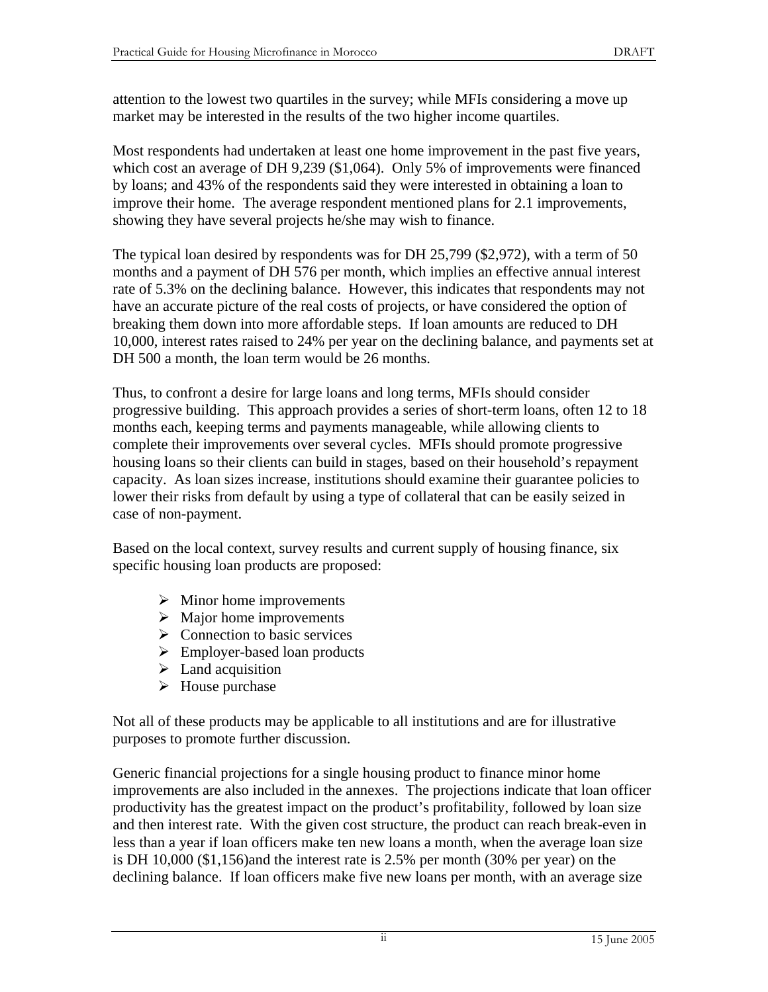attention to the lowest two quartiles in the survey; while MFIs considering a move up market may be interested in the results of the two higher income quartiles.

Most respondents had undertaken at least one home improvement in the past five years, which cost an average of DH 9,239 (\$1,064). Only 5% of improvements were financed by loans; and 43% of the respondents said they were interested in obtaining a loan to improve their home. The average respondent mentioned plans for 2.1 improvements, showing they have several projects he/she may wish to finance.

The typical loan desired by respondents was for DH 25,799 (\$2,972), with a term of 50 months and a payment of DH 576 per month, which implies an effective annual interest rate of 5.3% on the declining balance. However, this indicates that respondents may not have an accurate picture of the real costs of projects, or have considered the option of breaking them down into more affordable steps. If loan amounts are reduced to DH 10,000, interest rates raised to 24% per year on the declining balance, and payments set at DH 500 a month, the loan term would be 26 months.

Thus, to confront a desire for large loans and long terms, MFIs should consider progressive building. This approach provides a series of short-term loans, often 12 to 18 months each, keeping terms and payments manageable, while allowing clients to complete their improvements over several cycles. MFIs should promote progressive housing loans so their clients can build in stages, based on their household's repayment capacity. As loan sizes increase, institutions should examine their guarantee policies to lower their risks from default by using a type of collateral that can be easily seized in case of non-payment.

Based on the local context, survey results and current supply of housing finance, six specific housing loan products are proposed:

- $\triangleright$  Minor home improvements
- $\triangleright$  Major home improvements
- $\triangleright$  Connection to basic services
- $\triangleright$  Employer-based loan products
- $\blacktriangleright$  Land acquisition
- $\triangleright$  House purchase

Not all of these products may be applicable to all institutions and are for illustrative purposes to promote further discussion.

Generic financial projections for a single housing product to finance minor home improvements are also included in the annexes. The projections indicate that loan officer productivity has the greatest impact on the product's profitability, followed by loan size and then interest rate. With the given cost structure, the product can reach break-even in less than a year if loan officers make ten new loans a month, when the average loan size is DH 10,000 (\$1,156)and the interest rate is 2.5% per month (30% per year) on the declining balance. If loan officers make five new loans per month, with an average size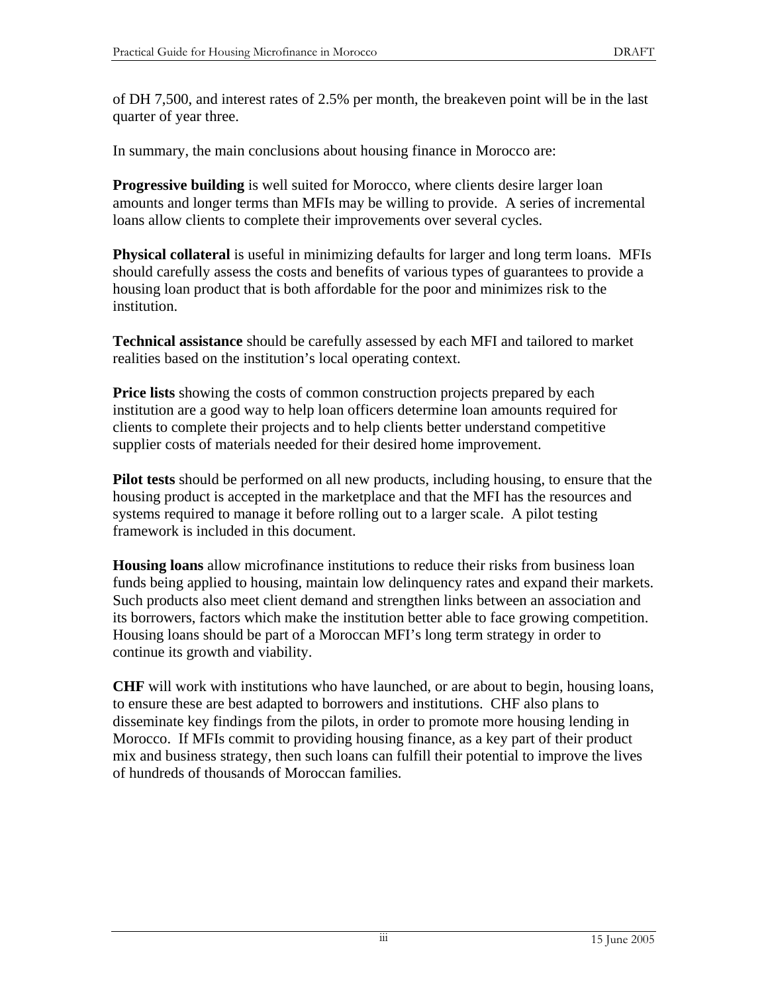of DH 7,500, and interest rates of 2.5% per month, the breakeven point will be in the last quarter of year three.

In summary, the main conclusions about housing finance in Morocco are:

**Progressive building** is well suited for Morocco, where clients desire larger loan amounts and longer terms than MFIs may be willing to provide. A series of incremental loans allow clients to complete their improvements over several cycles.

**Physical collateral** is useful in minimizing defaults for larger and long term loans. MFIs should carefully assess the costs and benefits of various types of guarantees to provide a housing loan product that is both affordable for the poor and minimizes risk to the institution.

**Technical assistance** should be carefully assessed by each MFI and tailored to market realities based on the institution's local operating context.

**Price lists** showing the costs of common construction projects prepared by each institution are a good way to help loan officers determine loan amounts required for clients to complete their projects and to help clients better understand competitive supplier costs of materials needed for their desired home improvement.

**Pilot tests** should be performed on all new products, including housing, to ensure that the housing product is accepted in the marketplace and that the MFI has the resources and systems required to manage it before rolling out to a larger scale. A pilot testing framework is included in this document.

**Housing loans** allow microfinance institutions to reduce their risks from business loan funds being applied to housing, maintain low delinquency rates and expand their markets. Such products also meet client demand and strengthen links between an association and its borrowers, factors which make the institution better able to face growing competition. Housing loans should be part of a Moroccan MFI's long term strategy in order to continue its growth and viability.

**CHF** will work with institutions who have launched, or are about to begin, housing loans, to ensure these are best adapted to borrowers and institutions. CHF also plans to disseminate key findings from the pilots, in order to promote more housing lending in Morocco. If MFIs commit to providing housing finance, as a key part of their product mix and business strategy, then such loans can fulfill their potential to improve the lives of hundreds of thousands of Moroccan families.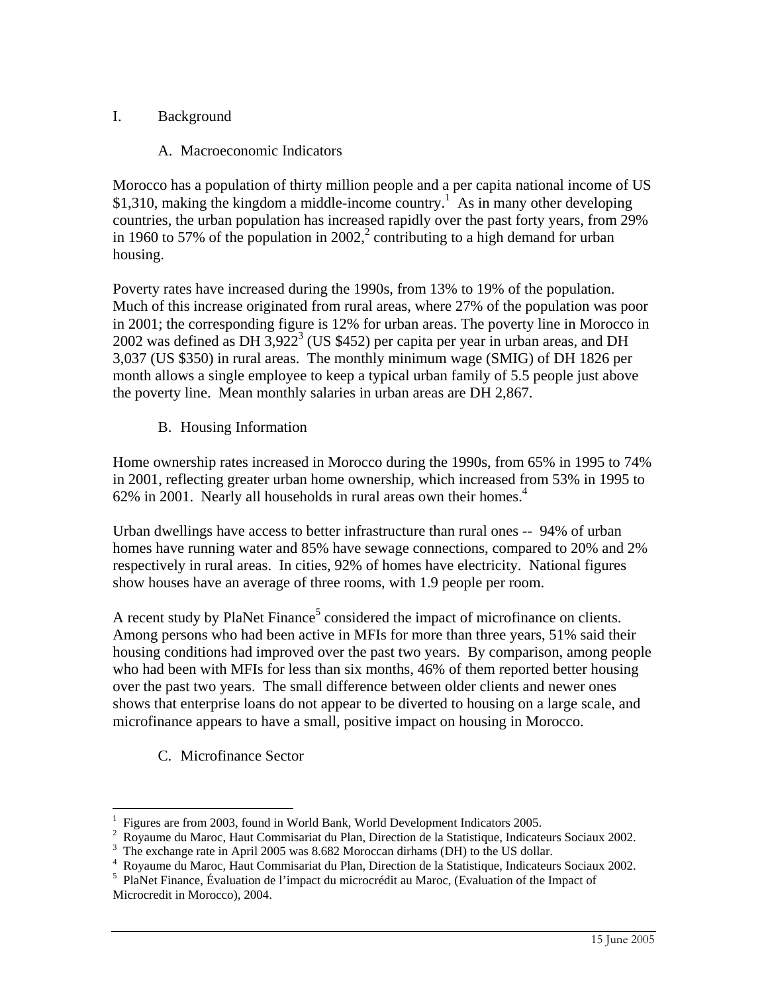#### I. Background

#### A. Macroeconomic Indicators

Morocco has a population of thirty million people and a per capita national income of US \$1,310, making the kingdom a middle-income country.<sup>1</sup> As in many other developing countries, the urban population has increased rapidly over the past forty years, from 29% in 1960 to 57% of the population in  $2002<sup>2</sup>$  contributing to a high demand for urban housing.

Poverty rates have increased during the 1990s, from 13% to 19% of the population. Much of this increase originated from rural areas, where 27% of the population was poor in 2001; the corresponding figure is 12% for urban areas. The poverty line in Morocco in 2002 was defined as DH  $3,922^3$  (US \$452) per capita per year in urban areas, and DH 3,037 (US \$350) in rural areas. The monthly minimum wage (SMIG) of DH 1826 per month allows a single employee to keep a typical urban family of 5.5 people just above the poverty line. Mean monthly salaries in urban areas are DH 2,867.

#### B. Housing Information

Home ownership rates increased in Morocco during the 1990s, from 65% in 1995 to 74% in 2001, reflecting greater urban home ownership, which increased from 53% in 1995 to 62% in 2001. Nearly all households in rural areas own their homes. $4\overline{ }$ 

Urban dwellings have access to better infrastructure than rural ones -- 94% of urban homes have running water and 85% have sewage connections, compared to 20% and 2% respectively in rural areas. In cities, 92% of homes have electricity. National figures show houses have an average of three rooms, with 1.9 people per room.

A recent study by PlaNet Finance<sup>5</sup> considered the impact of microfinance on clients. Among persons who had been active in MFIs for more than three years, 51% said their housing conditions had improved over the past two years. By comparison, among people who had been with MFIs for less than six months, 46% of them reported better housing over the past two years. The small difference between older clients and newer ones shows that enterprise loans do not appear to be diverted to housing on a large scale, and microfinance appears to have a small, positive impact on housing in Morocco.

### C. Microfinance Sector

 $\overline{a}$ 1 Figures are from 2003, found in World Bank, World Development Indicators 2005.

<sup>&</sup>lt;sup>2</sup> Royaume du Maroc, Haut Commisariat du Plan, Direction de la Statistique, Indicateurs Sociaux 2002.

 $3$  The exchange rate in April 2005 was 8.682 Moroccan dirhams (DH) to the US dollar.

Royaume du Maroc, Haut Commisariat du Plan, Direction de la Statistique, Indicateurs Sociaux 2002. 5

<sup>&</sup>lt;sup>5</sup> PlaNet Finance, Évaluation de l'impact du microcrédit au Maroc, (Evaluation of the Impact of Microcredit in Morocco), 2004.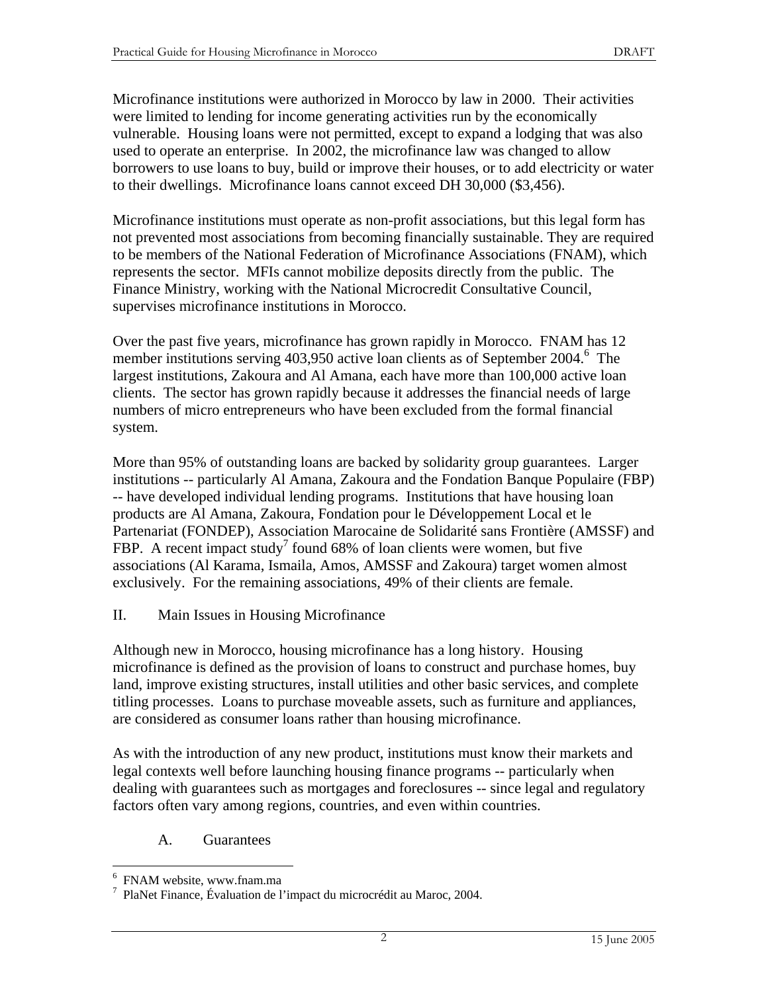Microfinance institutions were authorized in Morocco by law in 2000. Their activities were limited to lending for income generating activities run by the economically vulnerable. Housing loans were not permitted, except to expand a lodging that was also used to operate an enterprise. In 2002, the microfinance law was changed to allow borrowers to use loans to buy, build or improve their houses, or to add electricity or water to their dwellings. Microfinance loans cannot exceed DH 30,000 (\$3,456).

Microfinance institutions must operate as non-profit associations, but this legal form has not prevented most associations from becoming financially sustainable. They are required to be members of the National Federation of Microfinance Associations (FNAM), which represents the sector. MFIs cannot mobilize deposits directly from the public. The Finance Ministry, working with the National Microcredit Consultative Council, supervises microfinance institutions in Morocco.

Over the past five years, microfinance has grown rapidly in Morocco. FNAM has 12 member institutions serving 403,950 active loan clients as of September 2004.<sup>6</sup> The largest institutions, Zakoura and Al Amana, each have more than 100,000 active loan clients. The sector has grown rapidly because it addresses the financial needs of large numbers of micro entrepreneurs who have been excluded from the formal financial system.

More than 95% of outstanding loans are backed by solidarity group guarantees. Larger institutions -- particularly Al Amana, Zakoura and the Fondation Banque Populaire (FBP) -- have developed individual lending programs. Institutions that have housing loan products are Al Amana, Zakoura, Fondation pour le Développement Local et le Partenariat (FONDEP), Association Marocaine de Solidarité sans Frontière (AMSSF) and FBP. A recent impact study<sup>7</sup> found 68% of loan clients were women, but five associations (Al Karama, Ismaila, Amos, AMSSF and Zakoura) target women almost exclusively. For the remaining associations, 49% of their clients are female.

II. Main Issues in Housing Microfinance

Although new in Morocco, housing microfinance has a long history. Housing microfinance is defined as the provision of loans to construct and purchase homes, buy land, improve existing structures, install utilities and other basic services, and complete titling processes. Loans to purchase moveable assets, such as furniture and appliances, are considered as consumer loans rather than housing microfinance.

As with the introduction of any new product, institutions must know their markets and legal contexts well before launching housing finance programs -- particularly when dealing with guarantees such as mortgages and foreclosures -- since legal and regulatory factors often vary among regions, countries, and even within countries.

A. Guarantees

<sup>1</sup> 6 FNAM website, www.fnam.ma

<sup>7</sup> PlaNet Finance, Évaluation de l'impact du microcrédit au Maroc, 2004.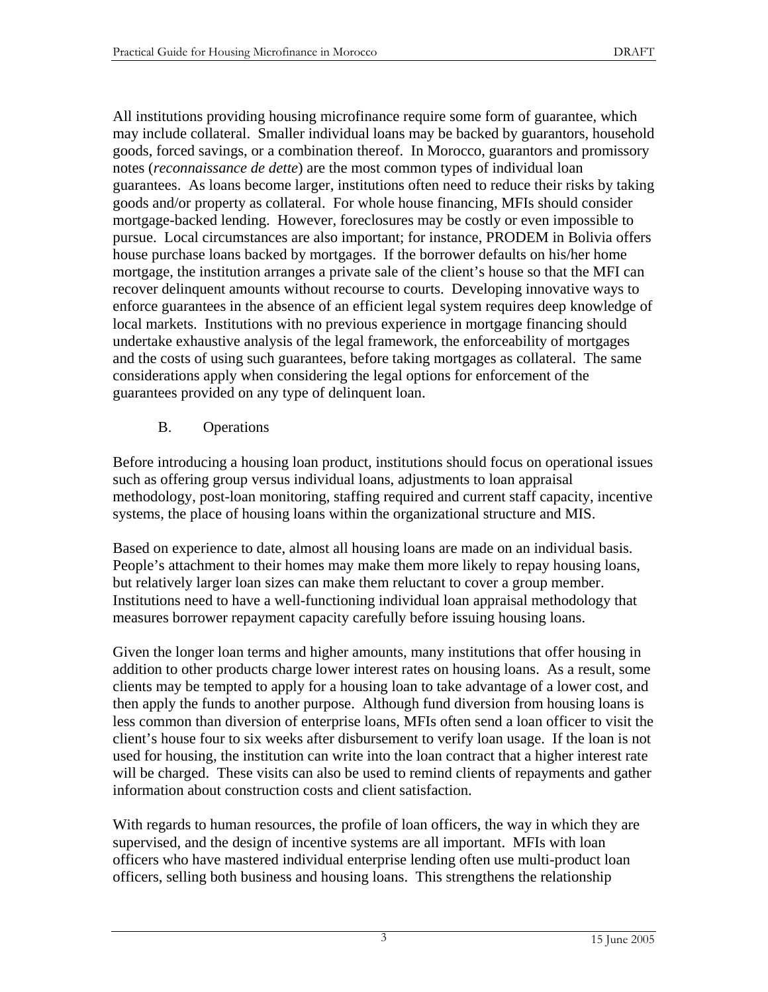All institutions providing housing microfinance require some form of guarantee, which may include collateral. Smaller individual loans may be backed by guarantors, household goods, forced savings, or a combination thereof. In Morocco, guarantors and promissory notes (*reconnaissance de dette*) are the most common types of individual loan guarantees. As loans become larger, institutions often need to reduce their risks by taking goods and/or property as collateral. For whole house financing, MFIs should consider mortgage-backed lending. However, foreclosures may be costly or even impossible to pursue. Local circumstances are also important; for instance, PRODEM in Bolivia offers house purchase loans backed by mortgages. If the borrower defaults on his/her home mortgage, the institution arranges a private sale of the client's house so that the MFI can recover delinquent amounts without recourse to courts. Developing innovative ways to enforce guarantees in the absence of an efficient legal system requires deep knowledge of local markets. Institutions with no previous experience in mortgage financing should undertake exhaustive analysis of the legal framework, the enforceability of mortgages and the costs of using such guarantees, before taking mortgages as collateral. The same considerations apply when considering the legal options for enforcement of the guarantees provided on any type of delinquent loan.

B. Operations

Before introducing a housing loan product, institutions should focus on operational issues such as offering group versus individual loans, adjustments to loan appraisal methodology, post-loan monitoring, staffing required and current staff capacity, incentive systems, the place of housing loans within the organizational structure and MIS.

Based on experience to date, almost all housing loans are made on an individual basis. People's attachment to their homes may make them more likely to repay housing loans, but relatively larger loan sizes can make them reluctant to cover a group member. Institutions need to have a well-functioning individual loan appraisal methodology that measures borrower repayment capacity carefully before issuing housing loans.

Given the longer loan terms and higher amounts, many institutions that offer housing in addition to other products charge lower interest rates on housing loans. As a result, some clients may be tempted to apply for a housing loan to take advantage of a lower cost, and then apply the funds to another purpose. Although fund diversion from housing loans is less common than diversion of enterprise loans, MFIs often send a loan officer to visit the client's house four to six weeks after disbursement to verify loan usage. If the loan is not used for housing, the institution can write into the loan contract that a higher interest rate will be charged. These visits can also be used to remind clients of repayments and gather information about construction costs and client satisfaction.

With regards to human resources, the profile of loan officers, the way in which they are supervised, and the design of incentive systems are all important. MFIs with loan officers who have mastered individual enterprise lending often use multi-product loan officers, selling both business and housing loans. This strengthens the relationship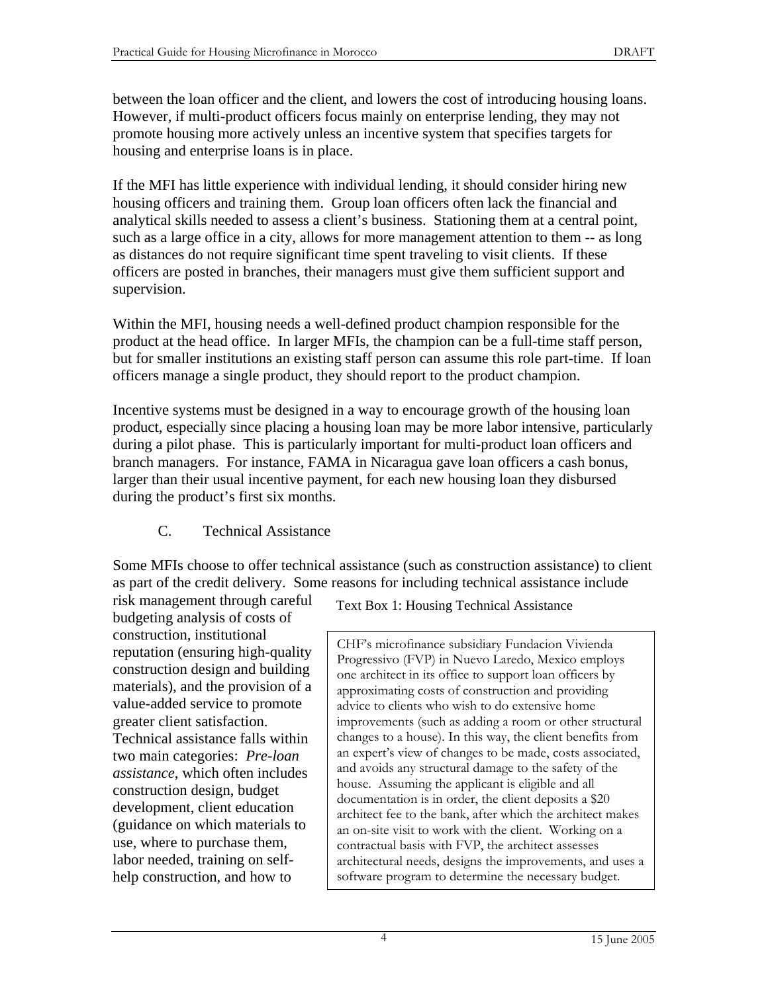between the loan officer and the client, and lowers the cost of introducing housing loans. However, if multi-product officers focus mainly on enterprise lending, they may not promote housing more actively unless an incentive system that specifies targets for housing and enterprise loans is in place.

If the MFI has little experience with individual lending, it should consider hiring new housing officers and training them. Group loan officers often lack the financial and analytical skills needed to assess a client's business. Stationing them at a central point, such as a large office in a city, allows for more management attention to them -- as long as distances do not require significant time spent traveling to visit clients. If these officers are posted in branches, their managers must give them sufficient support and supervision.

Within the MFI, housing needs a well-defined product champion responsible for the product at the head office. In larger MFIs, the champion can be a full-time staff person, but for smaller institutions an existing staff person can assume this role part-time. If loan officers manage a single product, they should report to the product champion.

Incentive systems must be designed in a way to encourage growth of the housing loan product, especially since placing a housing loan may be more labor intensive, particularly during a pilot phase. This is particularly important for multi-product loan officers and branch managers. For instance, FAMA in Nicaragua gave loan officers a cash bonus, larger than their usual incentive payment, for each new housing loan they disbursed during the product's first six months.

# C. Technical Assistance

Some MFIs choose to offer technical assistance (such as construction assistance) to client as part of the credit delivery. Some reasons for including technical assistance include

risk management through careful budgeting analysis of costs of construction, institutional reputation (ensuring high-quality construction design and building materials), and the provision of a value-added service to promote greater client satisfaction. Technical assistance falls within two main categories: *Pre-loan assistance*, which often includes construction design, budget development, client education (guidance on which materials to use, where to purchase them, labor needed, training on selfhelp construction, and how to

Text Box 1: Housing Technical Assistance

CHF's microfinance subsidiary Fundacion Vivienda Progressivo (FVP) in Nuevo Laredo, Mexico employs one architect in its office to support loan officers by approximating costs of construction and providing advice to clients who wish to do extensive home improvements (such as adding a room or other structural changes to a house). In this way, the client benefits from an expert's view of changes to be made, costs associated, and avoids any structural damage to the safety of the house. Assuming the applicant is eligible and all documentation is in order, the client deposits a \$20 architect fee to the bank, after which the architect makes an on-site visit to work with the client. Working on a contractual basis with FVP, the architect assesses architectural needs, designs the improvements, and uses a software program to determine the necessary budget.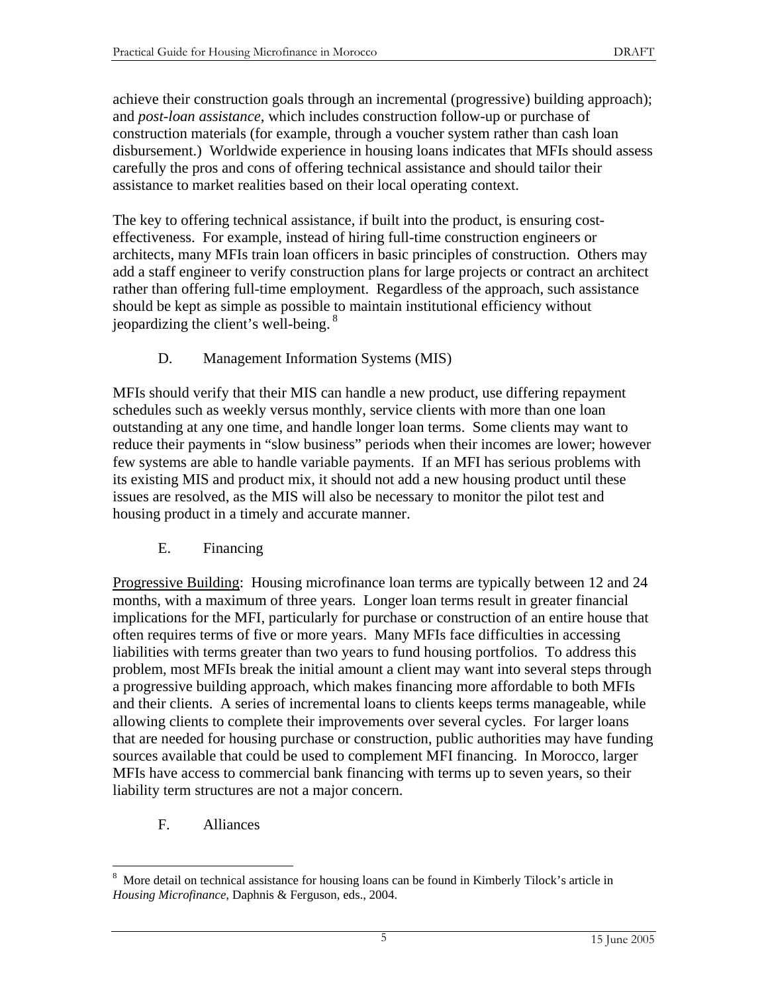achieve their construction goals through an incremental (progressive) building approach); and *post-loan assistance*, which includes construction follow-up or purchase of construction materials (for example, through a voucher system rather than cash loan disbursement.) Worldwide experience in housing loans indicates that MFIs should assess carefully the pros and cons of offering technical assistance and should tailor their assistance to market realities based on their local operating context.

The key to offering technical assistance, if built into the product, is ensuring costeffectiveness. For example, instead of hiring full-time construction engineers or architects, many MFIs train loan officers in basic principles of construction. Others may add a staff engineer to verify construction plans for large projects or contract an architect rather than offering full-time employment. Regardless of the approach, such assistance should be kept as simple as possible to maintain institutional efficiency without jeopardizing the client's well-being. 8

D. Management Information Systems (MIS)

MFIs should verify that their MIS can handle a new product, use differing repayment schedules such as weekly versus monthly, service clients with more than one loan outstanding at any one time, and handle longer loan terms. Some clients may want to reduce their payments in "slow business" periods when their incomes are lower; however few systems are able to handle variable payments. If an MFI has serious problems with its existing MIS and product mix, it should not add a new housing product until these issues are resolved, as the MIS will also be necessary to monitor the pilot test and housing product in a timely and accurate manner.

E. Financing

Progressive Building: Housing microfinance loan terms are typically between 12 and 24 months, with a maximum of three years. Longer loan terms result in greater financial implications for the MFI, particularly for purchase or construction of an entire house that often requires terms of five or more years. Many MFIs face difficulties in accessing liabilities with terms greater than two years to fund housing portfolios. To address this problem, most MFIs break the initial amount a client may want into several steps through a progressive building approach, which makes financing more affordable to both MFIs and their clients. A series of incremental loans to clients keeps terms manageable, while allowing clients to complete their improvements over several cycles. For larger loans that are needed for housing purchase or construction, public authorities may have funding sources available that could be used to complement MFI financing. In Morocco, larger MFIs have access to commercial bank financing with terms up to seven years, so their liability term structures are not a major concern.

F. Alliances

<sup>1</sup> 8 More detail on technical assistance for housing loans can be found in Kimberly Tilock's article in *Housing Microfinance*, Daphnis & Ferguson, eds., 2004.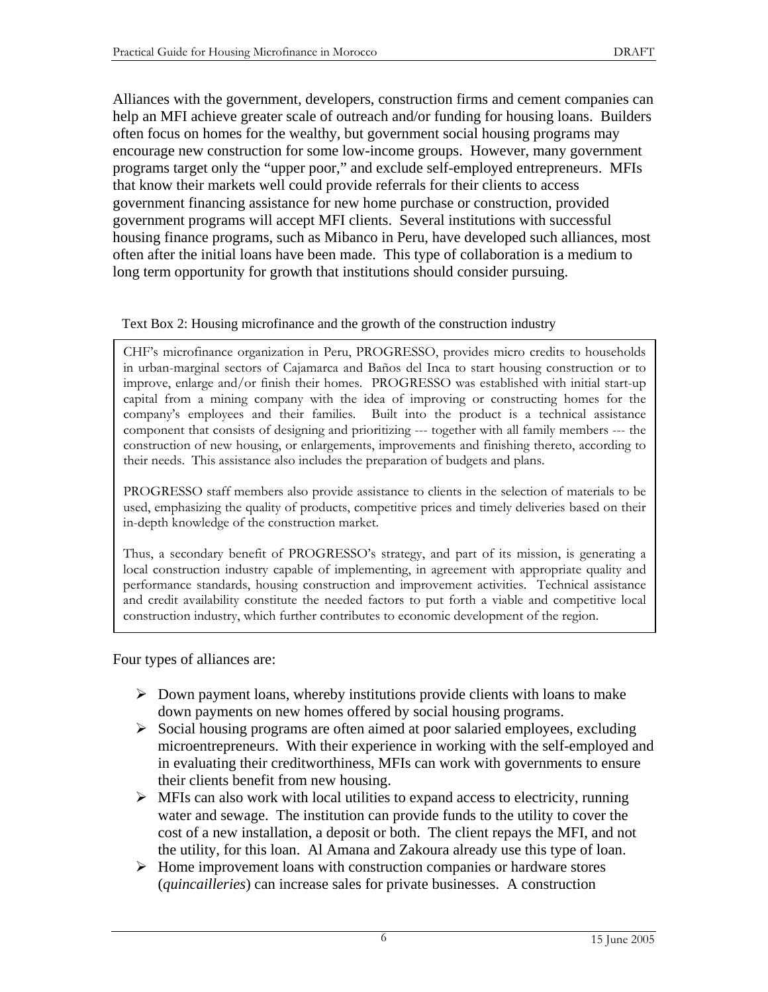Alliances with the government, developers, construction firms and cement companies can help an MFI achieve greater scale of outreach and/or funding for housing loans. Builders often focus on homes for the wealthy, but government social housing programs may encourage new construction for some low-income groups. However, many government programs target only the "upper poor," and exclude self-employed entrepreneurs. MFIs that know their markets well could provide referrals for their clients to access government financing assistance for new home purchase or construction, provided government programs will accept MFI clients. Several institutions with successful housing finance programs, such as Mibanco in Peru, have developed such alliances, most often after the initial loans have been made. This type of collaboration is a medium to long term opportunity for growth that institutions should consider pursuing.

#### Text Box 2: Housing microfinance and the growth of the construction industry

CHF's microfinance organization in Peru, PROGRESSO, provides micro credits to households in urban-marginal sectors of Cajamarca and Baños del Inca to start housing construction or to improve, enlarge and/or finish their homes. PROGRESSO was established with initial start-up capital from a mining company with the idea of improving or constructing homes for the company's employees and their families. Built into the product is a technical assistance component that consists of designing and prioritizing --- together with all family members --- the construction of new housing, or enlargements, improvements and finishing thereto, according to their needs. This assistance also includes the preparation of budgets and plans.

PROGRESSO staff members also provide assistance to clients in the selection of materials to be used, emphasizing the quality of products, competitive prices and timely deliveries based on their in-depth knowledge of the construction market.

Thus, a secondary benefit of PROGRESSO's strategy, and part of its mission, is generating a local construction industry capable of implementing, in agreement with appropriate quality and performance standards, housing construction and improvement activities. Technical assistance and credit availability constitute the needed factors to put forth a viable and competitive local construction industry, which further contributes to economic development of the region.

Four types of alliances are:

- $\triangleright$  Down payment loans, whereby institutions provide clients with loans to make down payments on new homes offered by social housing programs.
- $\triangleright$  Social housing programs are often aimed at poor salaried employees, excluding microentrepreneurs. With their experience in working with the self-employed and in evaluating their creditworthiness, MFIs can work with governments to ensure their clients benefit from new housing.
- $\triangleright$  MFIs can also work with local utilities to expand access to electricity, running water and sewage. The institution can provide funds to the utility to cover the cost of a new installation, a deposit or both. The client repays the MFI, and not the utility, for this loan. Al Amana and Zakoura already use this type of loan.
- $\triangleright$  Home improvement loans with construction companies or hardware stores (*quincailleries*) can increase sales for private businesses. A construction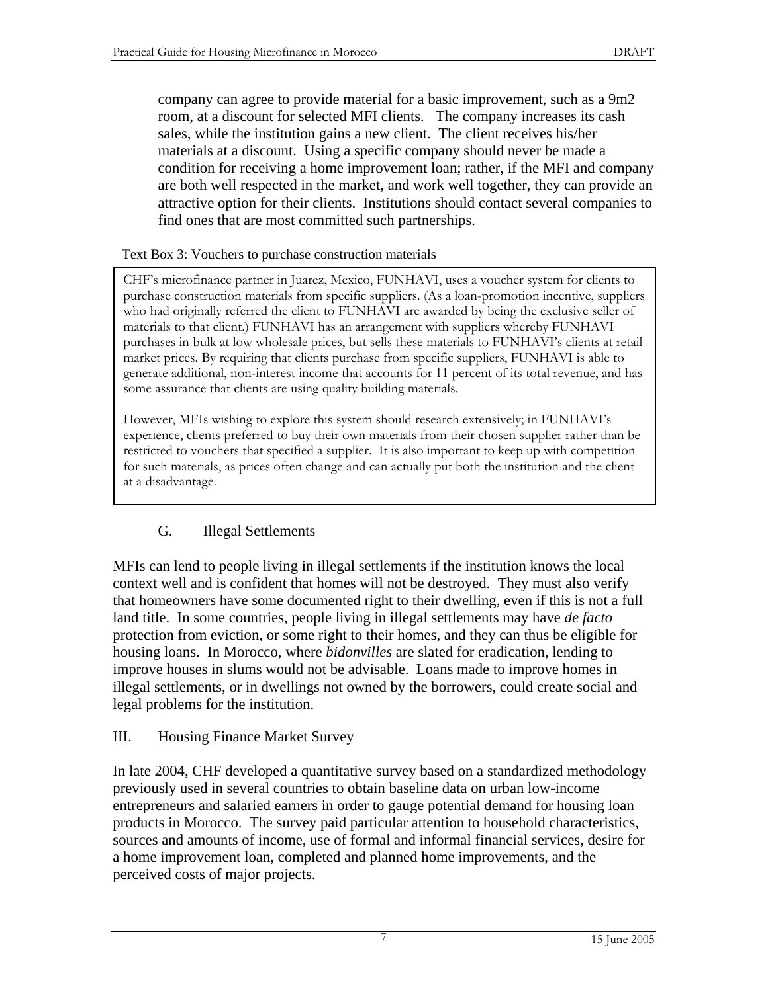company can agree to provide material for a basic improvement, such as a 9m2 room, at a discount for selected MFI clients. The company increases its cash sales, while the institution gains a new client. The client receives his/her materials at a discount. Using a specific company should never be made a condition for receiving a home improvement loan; rather, if the MFI and company are both well respected in the market, and work well together, they can provide an attractive option for their clients. Institutions should contact several companies to find ones that are most committed such partnerships.

#### Text Box 3: Vouchers to purchase construction materials

CHF's microfinance partner in Juarez, Mexico, FUNHAVI, uses a voucher system for clients to purchase construction materials from specific suppliers. (As a loan-promotion incentive, suppliers who had originally referred the client to FUNHAVI are awarded by being the exclusive seller of materials to that client.) FUNHAVI has an arrangement with suppliers whereby FUNHAVI purchases in bulk at low wholesale prices, but sells these materials to FUNHAVI's clients at retail market prices. By requiring that clients purchase from specific suppliers, FUNHAVI is able to generate additional, non-interest income that accounts for 11 percent of its total revenue, and has some assurance that clients are using quality building materials.

However, MFIs wishing to explore this system should research extensively; in FUNHAVI's experience, clients preferred to buy their own materials from their chosen supplier rather than be restricted to vouchers that specified a supplier. It is also important to keep up with competition for such materials, as prices often change and can actually put both the institution and the client at a disadvantage.

### G. Illegal Settlements

MFIs can lend to people living in illegal settlements if the institution knows the local context well and is confident that homes will not be destroyed. They must also verify that homeowners have some documented right to their dwelling, even if this is not a full land title. In some countries, people living in illegal settlements may have *de facto* protection from eviction, or some right to their homes, and they can thus be eligible for housing loans. In Morocco, where *bidonvilles* are slated for eradication, lending to improve houses in slums would not be advisable. Loans made to improve homes in illegal settlements, or in dwellings not owned by the borrowers, could create social and legal problems for the institution.

#### III. Housing Finance Market Survey

In late 2004, CHF developed a quantitative survey based on a standardized methodology previously used in several countries to obtain baseline data on urban low-income entrepreneurs and salaried earners in order to gauge potential demand for housing loan products in Morocco. The survey paid particular attention to household characteristics, sources and amounts of income, use of formal and informal financial services, desire for a home improvement loan, completed and planned home improvements, and the perceived costs of major projects.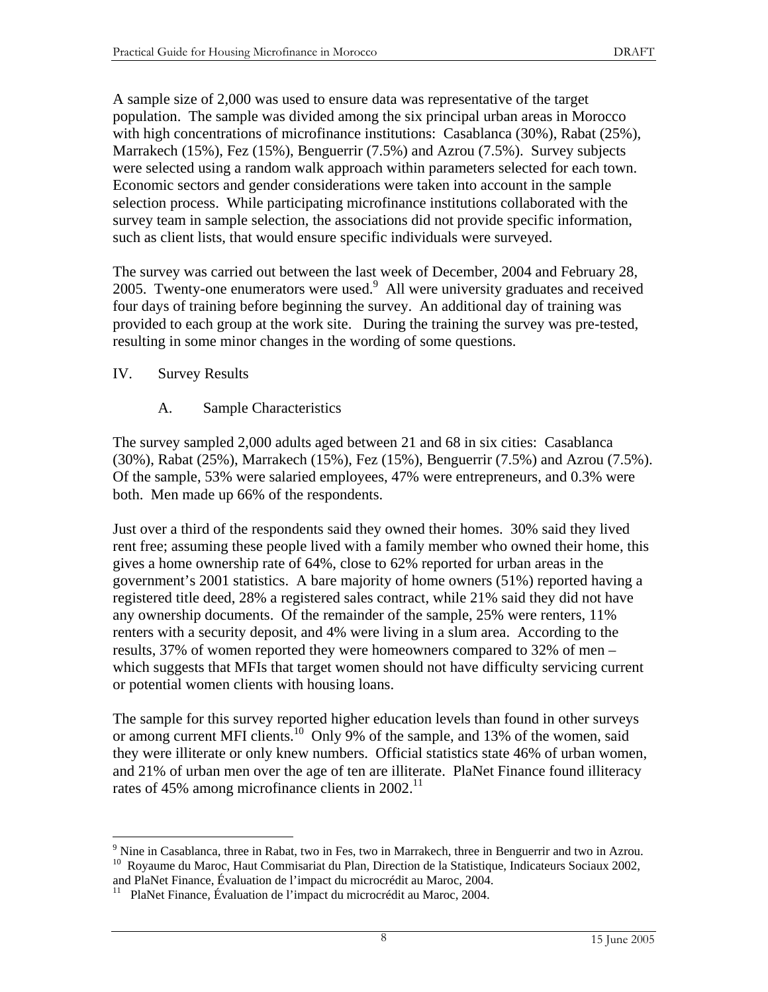A sample size of 2,000 was used to ensure data was representative of the target population. The sample was divided among the six principal urban areas in Morocco with high concentrations of microfinance institutions: Casablanca (30%), Rabat (25%), Marrakech (15%), Fez (15%), Benguerrir (7.5%) and Azrou (7.5%). Survey subjects were selected using a random walk approach within parameters selected for each town. Economic sectors and gender considerations were taken into account in the sample selection process. While participating microfinance institutions collaborated with the survey team in sample selection, the associations did not provide specific information, such as client lists, that would ensure specific individuals were surveyed.

The survey was carried out between the last week of December, 2004 and February 28, 2005. Twenty-one enumerators were used. $9$  All were university graduates and received four days of training before beginning the survey. An additional day of training was provided to each group at the work site. During the training the survey was pre-tested, resulting in some minor changes in the wording of some questions.

### IV. Survey Results

<u>.</u>

A. Sample Characteristics

The survey sampled 2,000 adults aged between 21 and 68 in six cities: Casablanca (30%), Rabat (25%), Marrakech (15%), Fez (15%), Benguerrir (7.5%) and Azrou (7.5%). Of the sample, 53% were salaried employees, 47% were entrepreneurs, and 0.3% were both. Men made up 66% of the respondents.

Just over a third of the respondents said they owned their homes. 30% said they lived rent free; assuming these people lived with a family member who owned their home, this gives a home ownership rate of 64%, close to 62% reported for urban areas in the government's 2001 statistics. A bare majority of home owners (51%) reported having a registered title deed, 28% a registered sales contract, while 21% said they did not have any ownership documents. Of the remainder of the sample, 25% were renters, 11% renters with a security deposit, and 4% were living in a slum area. According to the results, 37% of women reported they were homeowners compared to 32% of men – which suggests that MFIs that target women should not have difficulty servicing current or potential women clients with housing loans.

The sample for this survey reported higher education levels than found in other surveys or among current MFI clients.<sup>10</sup> Only 9% of the sample, and 13% of the women, said they were illiterate or only knew numbers. Official statistics state 46% of urban women, and 21% of urban men over the age of ten are illiterate. PlaNet Finance found illiteracy rates of 45% among microfinance clients in  $2002$ .<sup>11</sup>

 $9$  Nine in Casablanca, three in Rabat, two in Fes, two in Marrakech, three in Benguerrir and two in Azrou. <sup>10</sup> Royaume du Maroc, Haut Commisariat du Plan, Direction de la Statistique, Indicateurs Sociaux 2002, and PlaNet Finance, Évaluation de l'impact du microcrédit au Maroc, 2004.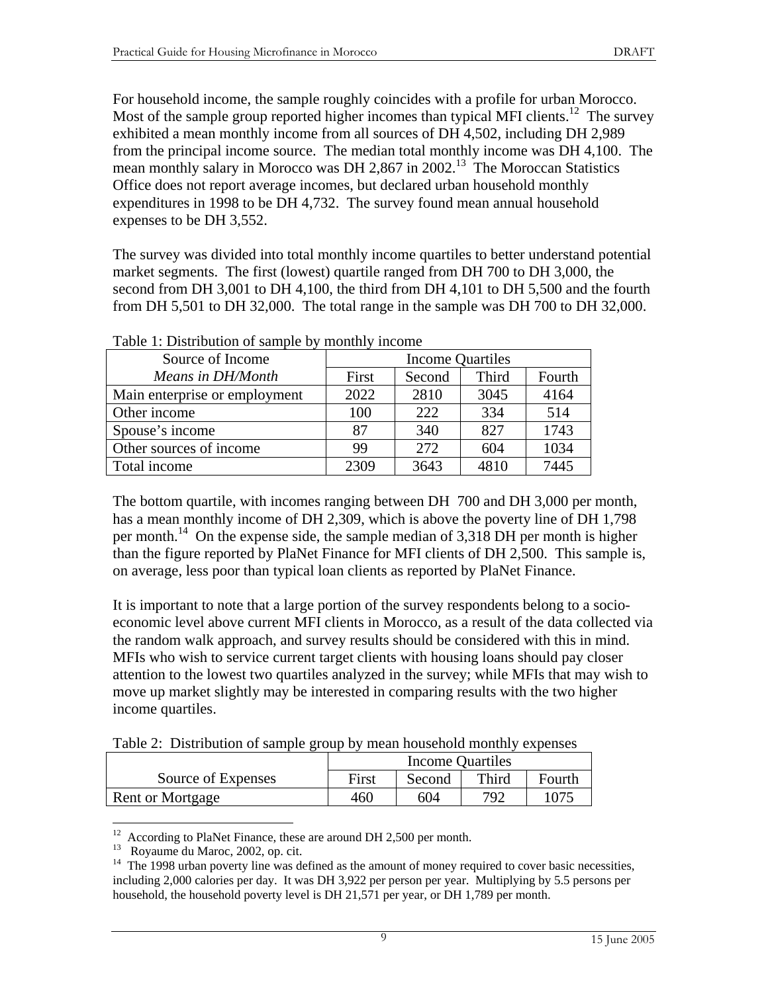For household income, the sample roughly coincides with a profile for urban Morocco. Most of the sample group reported higher incomes than typical MFI clients.<sup>12</sup> The survey exhibited a mean monthly income from all sources of DH 4,502, including DH 2,989 from the principal income source. The median total monthly income was DH 4,100. The mean monthly salary in Morocco was DH 2,867 in 2002.<sup>13</sup> The Moroccan Statistics Office does not report average incomes, but declared urban household monthly expenditures in 1998 to be DH 4,732. The survey found mean annual household expenses to be DH 3,552.

The survey was divided into total monthly income quartiles to better understand potential market segments. The first (lowest) quartile ranged from DH 700 to DH 3,000, the second from DH 3,001 to DH 4,100, the third from DH 4,101 to DH 5,500 and the fourth from DH 5,501 to DH 32,000. The total range in the sample was DH 700 to DH 32,000.

| Table 1. Distribution of sample by monthly medile |       |                  |       |        |
|---------------------------------------------------|-------|------------------|-------|--------|
| Source of Income                                  |       | Income Quartiles |       |        |
| Means in DH/Month                                 | First | Second           | Third | Fourth |
| Main enterprise or employment                     | 2022  | 2810             | 3045  | 4164   |
| Other income                                      | 100   | 222              | 334   | 514    |
| Spouse's income                                   | 87    | 340              | 827   | 1743   |
| Other sources of income                           | 99    | 272              | 604   | 1034   |
| Total income                                      | 2309  | 3643             | 4810  | 7445   |

Table 1: Distribution of sample by monthly income

The bottom quartile, with incomes ranging between DH 700 and DH 3,000 per month, has a mean monthly income of DH 2,309, which is above the poverty line of DH 1,798 per month.<sup>14</sup> On the expense side, the sample median of 3,318 DH per month is higher than the figure reported by PlaNet Finance for MFI clients of DH 2,500. This sample is, on average, less poor than typical loan clients as reported by PlaNet Finance.

It is important to note that a large portion of the survey respondents belong to a socioeconomic level above current MFI clients in Morocco, as a result of the data collected via the random walk approach, and survey results should be considered with this in mind. MFIs who wish to service current target clients with housing loans should pay closer attention to the lowest two quartiles analyzed in the survey; while MFIs that may wish to move up market slightly may be interested in comparing results with the two higher income quartiles.

Table 2: Distribution of sample group by mean household monthly expenses

|                         | Income Quartiles |        |       |        |
|-------------------------|------------------|--------|-------|--------|
| Source of Expenses      | First            | Second | Third | Fourth |
| <b>Rent or Mortgage</b> | 460              | 604    | 792   | 1075   |

 $\overline{a}$  $12$  According to PlaNet Finance, these are around DH 2,500 per month.

<sup>13</sup> Royaume du Maroc, 2002, op. cit.

<sup>&</sup>lt;sup>14</sup> The 1998 urban poverty line was defined as the amount of money required to cover basic necessities, including 2,000 calories per day. It was DH 3,922 per person per year. Multiplying by 5.5 persons per household, the household poverty level is DH 21,571 per year, or DH 1,789 per month.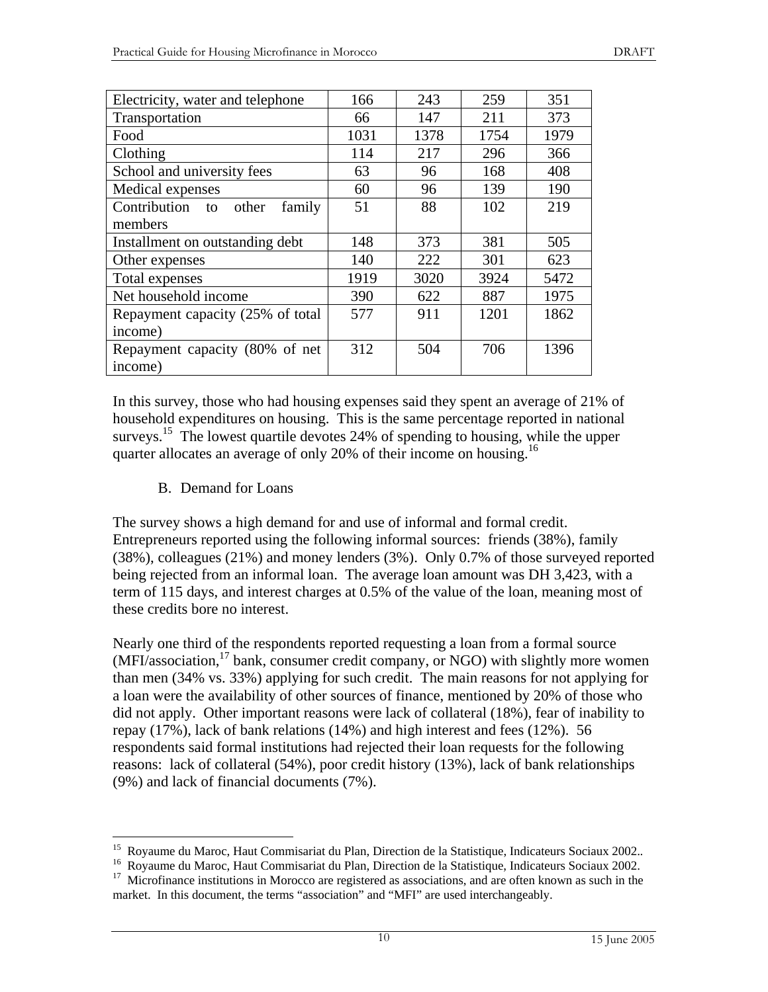| Electricity, water and telephone   | 166  | 243  | 259  | 351  |
|------------------------------------|------|------|------|------|
| Transportation                     | 66   | 147  | 211  | 373  |
| Food                               | 1031 | 1378 | 1754 | 1979 |
| Clothing                           | 114  | 217  | 296  | 366  |
| School and university fees         | 63   | 96   | 168  | 408  |
| Medical expenses                   | 60   | 96   | 139  | 190  |
| Contribution to<br>other<br>family | 51   | 88   | 102  | 219  |
| members                            |      |      |      |      |
| Installment on outstanding debt    | 148  | 373  | 381  | 505  |
| Other expenses                     | 140  | 222  | 301  | 623  |
| Total expenses                     | 1919 | 3020 | 3924 | 5472 |
| Net household income               | 390  | 622  | 887  | 1975 |
| Repayment capacity (25% of total   | 577  | 911  | 1201 | 1862 |
| income)                            |      |      |      |      |
| Repayment capacity (80% of net     | 312  | 504  | 706  | 1396 |
| income)                            |      |      |      |      |

In this survey, those who had housing expenses said they spent an average of 21% of household expenditures on housing. This is the same percentage reported in national surveys.<sup>15</sup> The lowest quartile devotes 24% of spending to housing, while the upper quarter allocates an average of only 20% of their income on housing.<sup>16</sup>

B. Demand for Loans

<u>.</u>

The survey shows a high demand for and use of informal and formal credit. Entrepreneurs reported using the following informal sources: friends (38%), family (38%), colleagues (21%) and money lenders (3%). Only 0.7% of those surveyed reported being rejected from an informal loan. The average loan amount was DH 3,423, with a term of 115 days, and interest charges at 0.5% of the value of the loan, meaning most of these credits bore no interest.

Nearly one third of the respondents reported requesting a loan from a formal source  $(MFI/association<sup>17</sup> bank, consumer credit company, or NGO) with slightly more women$ than men (34% vs. 33%) applying for such credit. The main reasons for not applying for a loan were the availability of other sources of finance, mentioned by 20% of those who did not apply. Other important reasons were lack of collateral (18%), fear of inability to repay (17%), lack of bank relations (14%) and high interest and fees (12%). 56 respondents said formal institutions had rejected their loan requests for the following reasons: lack of collateral (54%), poor credit history (13%), lack of bank relationships (9%) and lack of financial documents (7%).

<sup>&</sup>lt;sup>15</sup> Royaume du Maroc, Haut Commisariat du Plan, Direction de la Statistique, Indicateurs Sociaux 2002..<br><sup>16</sup> Royaume du Maroc, Haut Commisariat du Plan, Direction de la Statistique, Indicateurs Sociaux 2002.<br><sup>17</sup> Microfi

market. In this document, the terms "association" and "MFI" are used interchangeably.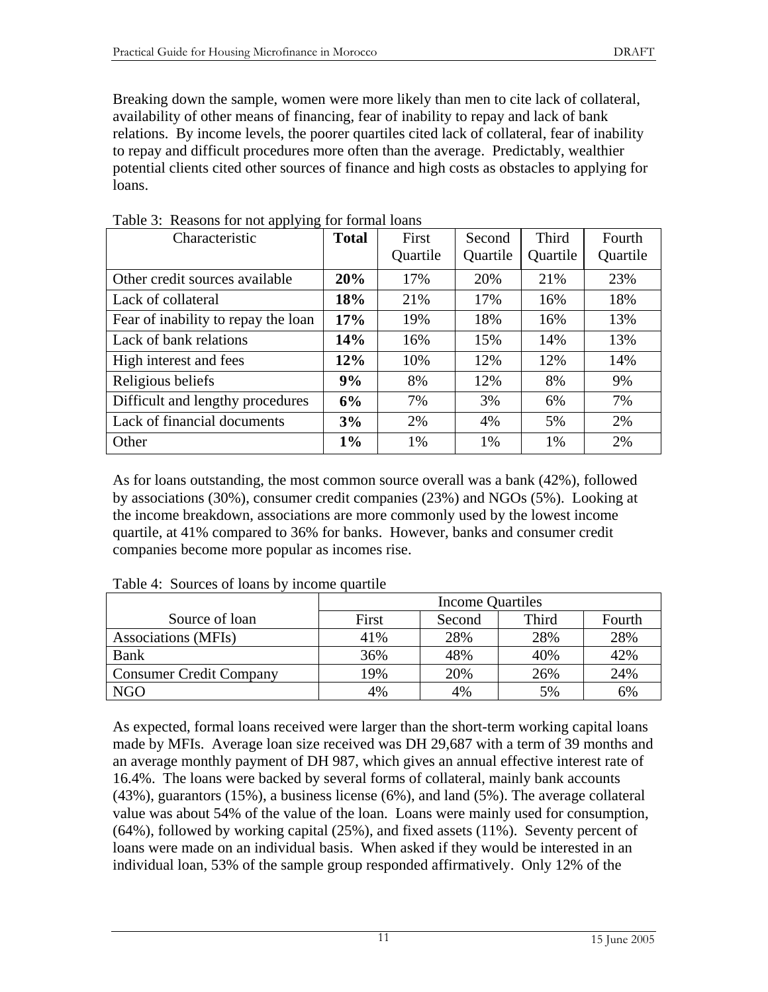Breaking down the sample, women were more likely than men to cite lack of collateral, availability of other means of financing, fear of inability to repay and lack of bank relations. By income levels, the poorer quartiles cited lack of collateral, fear of inability to repay and difficult procedures more often than the average. Predictably, wealthier potential clients cited other sources of finance and high costs as obstacles to applying for loans.

| Characteristic                      | <b>Total</b> | First    | Second   | <b>Third</b> | Fourth   |
|-------------------------------------|--------------|----------|----------|--------------|----------|
|                                     |              | Quartile | Quartile | Quartile     | Quartile |
| Other credit sources available      | 20%          | 17%      | 20%      | 21%          | 23%      |
| Lack of collateral                  | 18%          | 21%      | 17%      | 16%          | 18%      |
| Fear of inability to repay the loan | 17%          | 19%      | 18%      | 16%          | 13%      |
| Lack of bank relations              | 14%          | 16%      | 15%      | 14%          | 13%      |
| High interest and fees              | 12%          | 10%      | 12%      | 12%          | 14%      |
| Religious beliefs                   | 9%           | 8%       | 12%      | 8%           | 9%       |
| Difficult and lengthy procedures    | 6%           | 7%       | 3%       | 6%           | 7%       |
| Lack of financial documents         | 3%           | 2%       | 4%       | 5%           | 2%       |
| Other                               | $1\%$        | 1%       | 1%       | 1%           | 2%       |

Table 3: Reasons for not applying for formal loans

As for loans outstanding, the most common source overall was a bank (42%), followed by associations (30%), consumer credit companies (23%) and NGOs (5%). Looking at the income breakdown, associations are more commonly used by the lowest income quartile, at 41% compared to 36% for banks. However, banks and consumer credit companies become more popular as incomes rise.

|                                | Income Quartiles |        |       |        |  |
|--------------------------------|------------------|--------|-------|--------|--|
| Source of loan                 | First            | Second | Third | Fourth |  |
| <b>Associations (MFIs)</b>     | 41%              | 28%    | 28%   | 28%    |  |
| Bank                           | 36%              | 48%    | 40%   | 42%    |  |
| <b>Consumer Credit Company</b> | 19%              | 20%    | 26%   | 24%    |  |
| <b>NGO</b>                     | 4%               | 4%     | 5%    | 6%     |  |

Table 4: Sources of loans by income quartile

As expected, formal loans received were larger than the short-term working capital loans made by MFIs. Average loan size received was DH 29,687 with a term of 39 months and an average monthly payment of DH 987, which gives an annual effective interest rate of 16.4%. The loans were backed by several forms of collateral, mainly bank accounts (43%), guarantors (15%), a business license (6%), and land (5%). The average collateral value was about 54% of the value of the loan. Loans were mainly used for consumption, (64%), followed by working capital (25%), and fixed assets (11%). Seventy percent of loans were made on an individual basis. When asked if they would be interested in an individual loan, 53% of the sample group responded affirmatively. Only 12% of the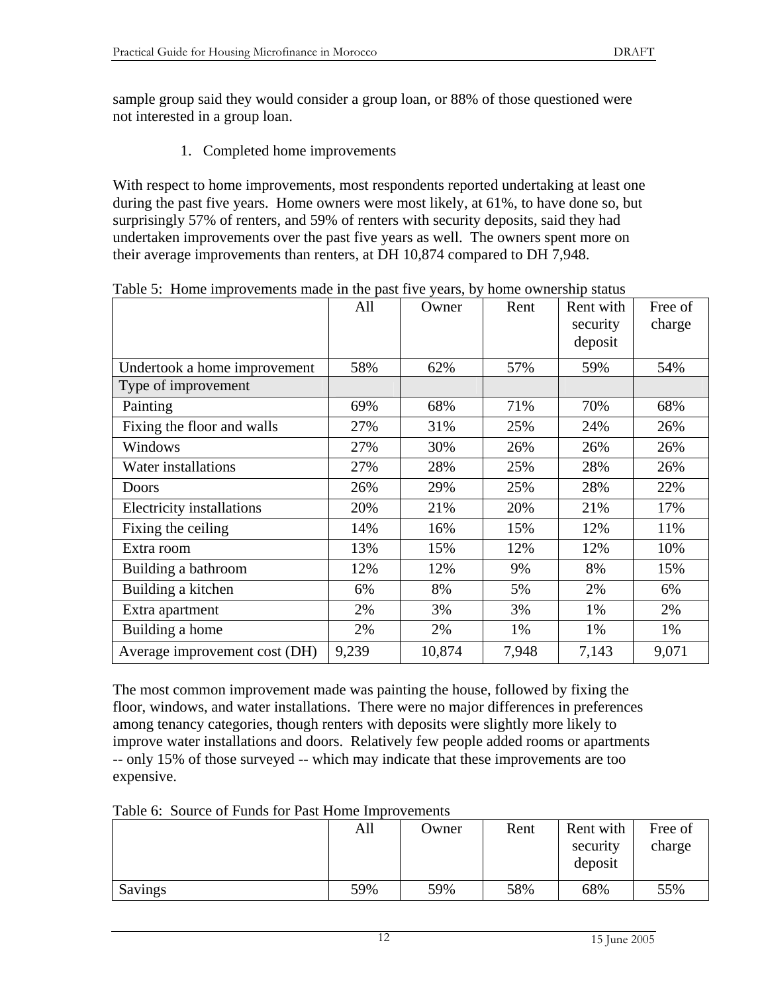sample group said they would consider a group loan, or 88% of those questioned were not interested in a group loan.

1. Completed home improvements

With respect to home improvements, most respondents reported undertaking at least one during the past five years. Home owners were most likely, at 61%, to have done so, but surprisingly 57% of renters, and 59% of renters with security deposits, said they had undertaken improvements over the past five years as well. The owners spent more on their average improvements than renters, at DH 10,874 compared to DH 7,948.

|                                  | All   | Owner  | Rent  | Rent with<br>security<br>deposit | Free of<br>charge |
|----------------------------------|-------|--------|-------|----------------------------------|-------------------|
| Undertook a home improvement     | 58%   | 62%    | 57%   | 59%                              | 54%               |
| Type of improvement              |       |        |       |                                  |                   |
| Painting                         | 69%   | 68%    | 71%   | 70%                              | 68%               |
| Fixing the floor and walls       | 27%   | 31%    | 25%   | 24%                              | 26%               |
| Windows                          | 27%   | 30%    | 26%   | 26%                              | 26%               |
| Water installations              | 27%   | 28%    | 25%   | 28%                              | 26%               |
| Doors                            | 26%   | 29%    | 25%   | 28%                              | 22%               |
| <b>Electricity</b> installations | 20%   | 21%    | 20%   | 21%                              | 17%               |
| Fixing the ceiling               | 14%   | 16%    | 15%   | 12%                              | 11%               |
| Extra room                       | 13%   | 15%    | 12%   | 12%                              | 10%               |
| Building a bathroom              | 12%   | 12%    | 9%    | 8%                               | 15%               |
| Building a kitchen               | 6%    | 8%     | 5%    | 2%                               | 6%                |
| Extra apartment                  | 2%    | 3%     | 3%    | 1%                               | 2%                |
| Building a home                  | 2%    | 2%     | 1%    | 1%                               | 1%                |
| Average improvement cost (DH)    | 9,239 | 10,874 | 7,948 | 7,143                            | 9,071             |

Table 5: Home improvements made in the past five years, by home ownership status

The most common improvement made was painting the house, followed by fixing the floor, windows, and water installations. There were no major differences in preferences among tenancy categories, though renters with deposits were slightly more likely to improve water installations and doors. Relatively few people added rooms or apartments -- only 15% of those surveyed -- which may indicate that these improvements are too expensive.

Table 6: Source of Funds for Past Home Improvements

|         | All | Owner | Rent | Rent with<br>security<br>deposit | Free of<br>charge |
|---------|-----|-------|------|----------------------------------|-------------------|
| Savings | 59% | 59%   | 58%  | 68%                              | 55%               |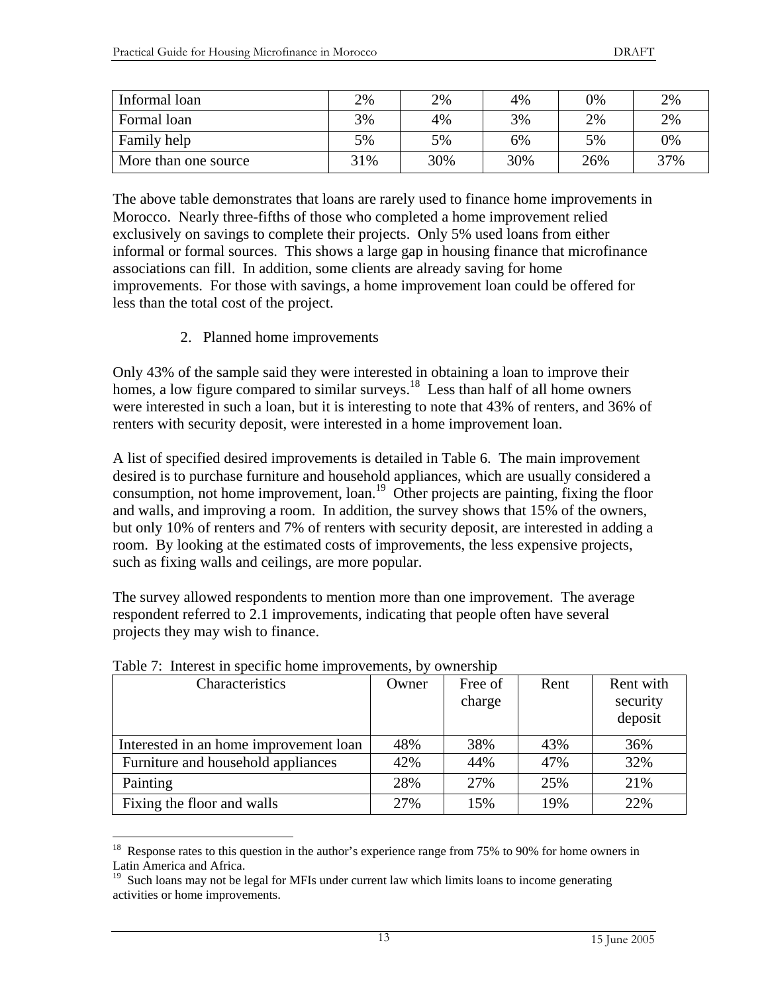| Informal loan        | 2%  | 2%  | 4%  | 0%  | 2%  |
|----------------------|-----|-----|-----|-----|-----|
| Formal loan          | 3%  | 4%  | 3%  | 2%  | 2%  |
| Family help          | 5%  | 5%  | 6%  | 5%  | 0%  |
| More than one source | 31% | 30% | 30% | 26% | 37% |

The above table demonstrates that loans are rarely used to finance home improvements in Morocco. Nearly three-fifths of those who completed a home improvement relied exclusively on savings to complete their projects. Only 5% used loans from either informal or formal sources. This shows a large gap in housing finance that microfinance associations can fill. In addition, some clients are already saving for home improvements. For those with savings, a home improvement loan could be offered for less than the total cost of the project.

2. Planned home improvements

Only 43% of the sample said they were interested in obtaining a loan to improve their homes, a low figure compared to similar surveys.<sup>18</sup> Less than half of all home owners were interested in such a loan, but it is interesting to note that 43% of renters, and 36% of renters with security deposit, were interested in a home improvement loan.

A list of specified desired improvements is detailed in Table 6. The main improvement desired is to purchase furniture and household appliances, which are usually considered a consumption, not home improvement, loan.<sup>19</sup> Other projects are painting, fixing the floor and walls, and improving a room. In addition, the survey shows that 15% of the owners, but only 10% of renters and 7% of renters with security deposit, are interested in adding a room. By looking at the estimated costs of improvements, the less expensive projects, such as fixing walls and ceilings, are more popular.

The survey allowed respondents to mention more than one improvement. The average respondent referred to 2.1 improvements, indicating that people often have several projects they may wish to finance.

| Characteristics                        | Owner | Free of<br>charge | Rent | Rent with<br>security<br>deposit |
|----------------------------------------|-------|-------------------|------|----------------------------------|
| Interested in an home improvement loan | 48%   | 38%               | 43%  | 36%                              |
| Furniture and household appliances     | 42%   | 44%               | 47%  | 32%                              |
| Painting                               | 28%   | 27%               | 25%  | 21%                              |
| Fixing the floor and walls             | 27%   | 15%               | 19%  | 22%                              |

Table 7: Interest in specific home improvements, by ownership

 $\overline{a}$ 

<sup>&</sup>lt;sup>18</sup> Response rates to this question in the author's experience range from 75% to 90% for home owners in Latin America and Africa.

<sup>&</sup>lt;sup>19</sup> Such loans may not be legal for MFIs under current law which limits loans to income generating activities or home improvements.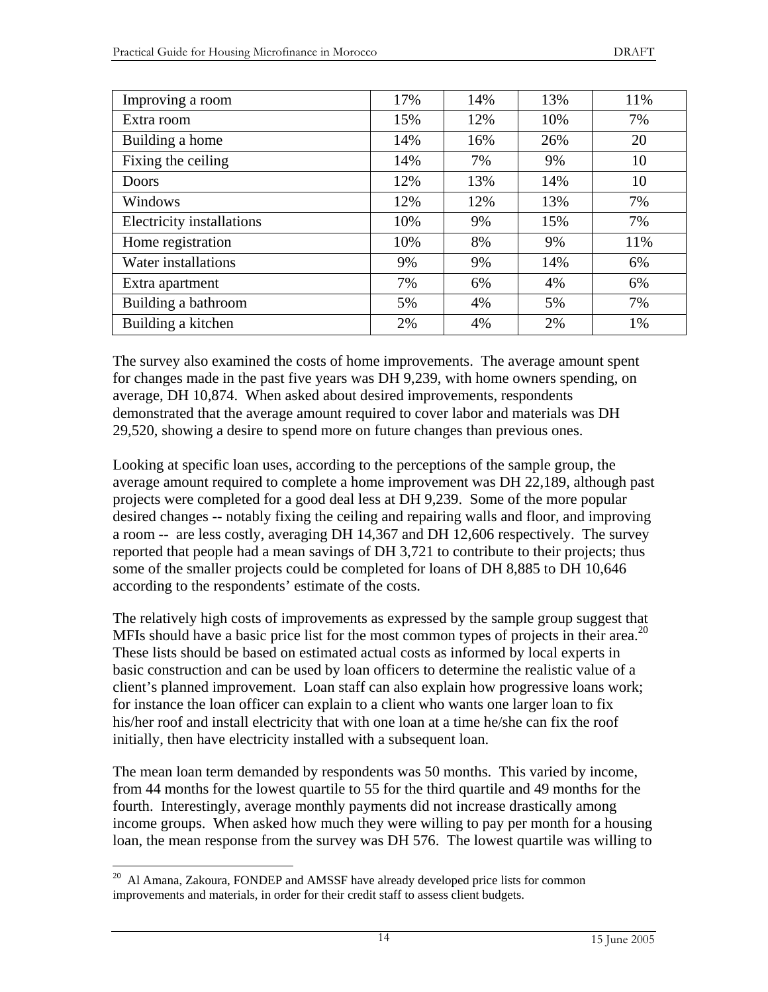| Improving a room                 | 17% | 14% | 13% | 11% |
|----------------------------------|-----|-----|-----|-----|
| Extra room                       | 15% | 12% | 10% | 7%  |
| Building a home                  | 14% | 16% | 26% | 20  |
| Fixing the ceiling               | 14% | 7%  | 9%  | 10  |
| Doors                            | 12% | 13% | 14% | 10  |
| Windows                          | 12% | 12% | 13% | 7%  |
| <b>Electricity installations</b> | 10% | 9%  | 15% | 7%  |
| Home registration                | 10% | 8%  | 9%  | 11% |
| Water installations              | 9%  | 9%  | 14% | 6%  |
| Extra apartment                  | 7%  | 6%  | 4%  | 6%  |
| Building a bathroom              | 5%  | 4%  | 5%  | 7%  |
| Building a kitchen               | 2%  | 4%  | 2%  | 1%  |

The survey also examined the costs of home improvements. The average amount spent for changes made in the past five years was DH 9,239, with home owners spending, on average, DH 10,874. When asked about desired improvements, respondents demonstrated that the average amount required to cover labor and materials was DH 29,520, showing a desire to spend more on future changes than previous ones.

Looking at specific loan uses, according to the perceptions of the sample group, the average amount required to complete a home improvement was DH 22,189, although past projects were completed for a good deal less at DH 9,239. Some of the more popular desired changes -- notably fixing the ceiling and repairing walls and floor, and improving a room -- are less costly, averaging DH 14,367 and DH 12,606 respectively. The survey reported that people had a mean savings of DH 3,721 to contribute to their projects; thus some of the smaller projects could be completed for loans of DH 8,885 to DH 10,646 according to the respondents' estimate of the costs.

The relatively high costs of improvements as expressed by the sample group suggest that MFIs should have a basic price list for the most common types of projects in their area.<sup>20</sup> These lists should be based on estimated actual costs as informed by local experts in basic construction and can be used by loan officers to determine the realistic value of a client's planned improvement. Loan staff can also explain how progressive loans work; for instance the loan officer can explain to a client who wants one larger loan to fix his/her roof and install electricity that with one loan at a time he/she can fix the roof initially, then have electricity installed with a subsequent loan.

The mean loan term demanded by respondents was 50 months. This varied by income, from 44 months for the lowest quartile to 55 for the third quartile and 49 months for the fourth. Interestingly, average monthly payments did not increase drastically among income groups. When asked how much they were willing to pay per month for a housing loan, the mean response from the survey was DH 576. The lowest quartile was willing to

 $\overline{a}$ 

 $20$  Al Amana, Zakoura, FONDEP and AMSSF have already developed price lists for common improvements and materials, in order for their credit staff to assess client budgets.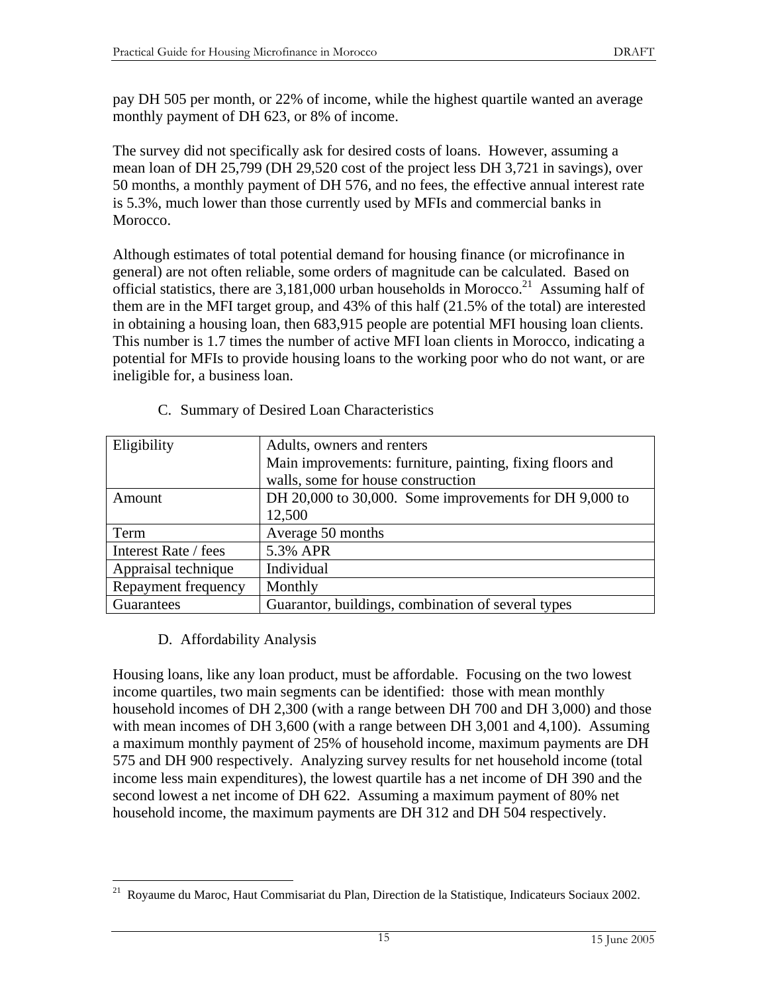pay DH 505 per month, or 22% of income, while the highest quartile wanted an average monthly payment of DH 623, or 8% of income.

The survey did not specifically ask for desired costs of loans. However, assuming a mean loan of DH 25,799 (DH 29,520 cost of the project less DH 3,721 in savings), over 50 months, a monthly payment of DH 576, and no fees, the effective annual interest rate is 5.3%, much lower than those currently used by MFIs and commercial banks in Morocco.

Although estimates of total potential demand for housing finance (or microfinance in general) are not often reliable, some orders of magnitude can be calculated. Based on official statistics, there are 3,181,000 urban households in Morocco.<sup>21</sup> Assuming half of them are in the MFI target group, and 43% of this half (21.5% of the total) are interested in obtaining a housing loan, then 683,915 people are potential MFI housing loan clients. This number is 1.7 times the number of active MFI loan clients in Morocco, indicating a potential for MFIs to provide housing loans to the working poor who do not want, or are ineligible for, a business loan.

| Eligibility          | Adults, owners and renters                                |
|----------------------|-----------------------------------------------------------|
|                      | Main improvements: furniture, painting, fixing floors and |
|                      | walls, some for house construction                        |
| Amount               | DH 20,000 to 30,000. Some improvements for DH 9,000 to    |
|                      | 12,500                                                    |
| Term                 | Average 50 months                                         |
| Interest Rate / fees | 5.3% APR                                                  |
| Appraisal technique  | Individual                                                |
| Repayment frequency  | Monthly                                                   |
| Guarantees           | Guarantor, buildings, combination of several types        |

C. Summary of Desired Loan Characteristics

# D. Affordability Analysis

Housing loans, like any loan product, must be affordable. Focusing on the two lowest income quartiles, two main segments can be identified: those with mean monthly household incomes of DH 2,300 (with a range between DH 700 and DH 3,000) and those with mean incomes of DH 3,600 (with a range between DH 3,001 and 4,100). Assuming a maximum monthly payment of 25% of household income, maximum payments are DH 575 and DH 900 respectively. Analyzing survey results for net household income (total income less main expenditures), the lowest quartile has a net income of DH 390 and the second lowest a net income of DH 622. Assuming a maximum payment of 80% net household income, the maximum payments are DH 312 and DH 504 respectively.

 $\overline{a}$ 21 Royaume du Maroc, Haut Commisariat du Plan, Direction de la Statistique, Indicateurs Sociaux 2002.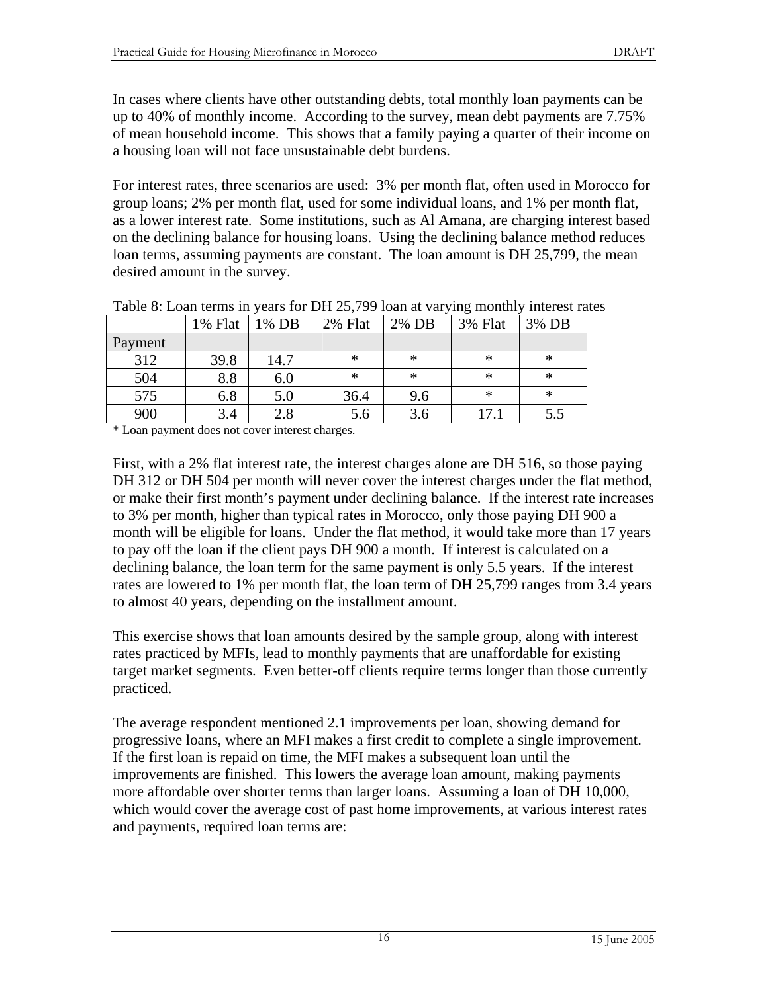In cases where clients have other outstanding debts, total monthly loan payments can be up to 40% of monthly income. According to the survey, mean debt payments are 7.75% of mean household income. This shows that a family paying a quarter of their income on a housing loan will not face unsustainable debt burdens.

For interest rates, three scenarios are used: 3% per month flat, often used in Morocco for group loans; 2% per month flat, used for some individual loans, and 1% per month flat, as a lower interest rate. Some institutions, such as Al Amana, are charging interest based on the declining balance for housing loans. Using the declining balance method reduces loan terms, assuming payments are constant. The loan amount is DH 25,799, the mean desired amount in the survey.

|         | 1% Flat | 1% DB | 2% Flat | 2% DB  | 3% Flat | 3% DB |
|---------|---------|-------|---------|--------|---------|-------|
| Payment |         |       |         |        |         |       |
| 312     | 39.8    | 14.7  | ∗       | ∗      | ∗       | ∗     |
| 504     | 8.8     | 6.0   | *       | $\ast$ | $\ast$  | ∗     |
| 575     | 6.8     | 5.0   | 36.4    | 9.6    | $\ast$  | ∗     |
| 900     | 3.4     | 2.8   | 5.6     | 3.6    | 17.1    | 5.5   |

Table 8: Loan terms in years for DH 25,799 loan at varying monthly interest rates

\* Loan payment does not cover interest charges.

First, with a 2% flat interest rate, the interest charges alone are DH 516, so those paying DH 312 or DH 504 per month will never cover the interest charges under the flat method, or make their first month's payment under declining balance. If the interest rate increases to 3% per month, higher than typical rates in Morocco, only those paying DH 900 a month will be eligible for loans. Under the flat method, it would take more than 17 years to pay off the loan if the client pays DH 900 a month. If interest is calculated on a declining balance, the loan term for the same payment is only 5.5 years. If the interest rates are lowered to 1% per month flat, the loan term of DH 25,799 ranges from 3.4 years to almost 40 years, depending on the installment amount.

This exercise shows that loan amounts desired by the sample group, along with interest rates practiced by MFIs, lead to monthly payments that are unaffordable for existing target market segments. Even better-off clients require terms longer than those currently practiced.

The average respondent mentioned 2.1 improvements per loan, showing demand for progressive loans, where an MFI makes a first credit to complete a single improvement. If the first loan is repaid on time, the MFI makes a subsequent loan until the improvements are finished. This lowers the average loan amount, making payments more affordable over shorter terms than larger loans. Assuming a loan of DH 10,000, which would cover the average cost of past home improvements, at various interest rates and payments, required loan terms are: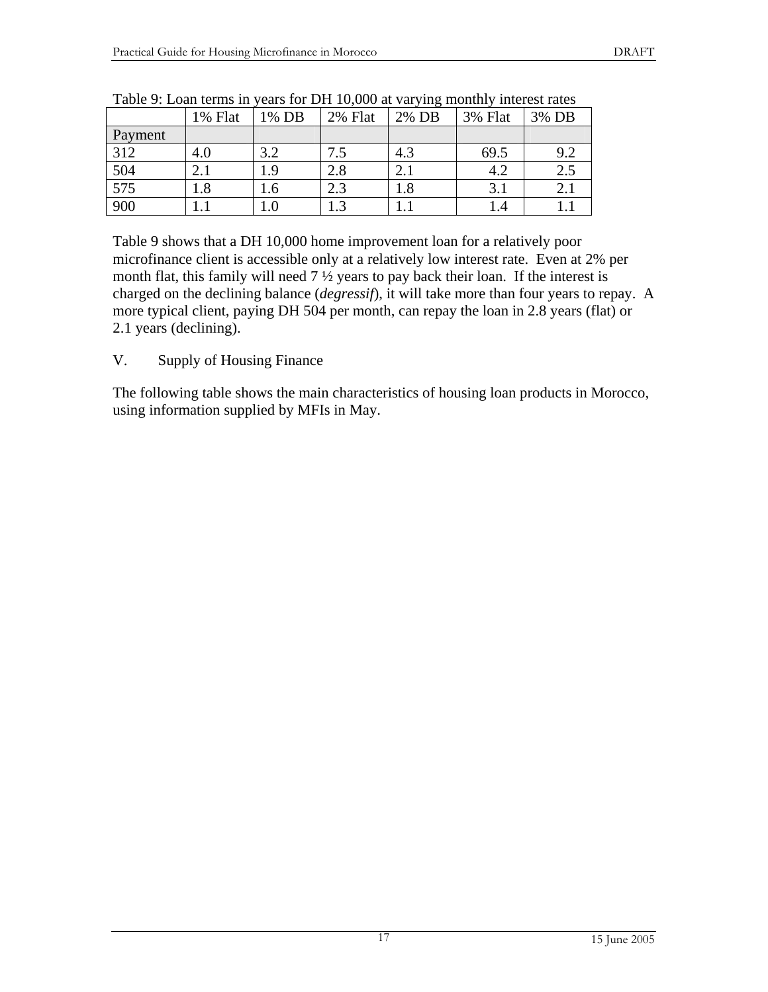|         | 1% Flat | 1% DB   | 2% Flat | 2% DB | 3% Flat | 3% DB |
|---------|---------|---------|---------|-------|---------|-------|
| Payment |         |         |         |       |         |       |
| 312     | 4.0     | 3.2     | 7.5     | 4.3   | 69.5    | 9.2   |
| 504     | 2.1     | .9      | 2.8     | 2.1   | 4.2     | 2.5   |
| 575     | $1.8\,$ | 1.6     | 2.3     | 1.8   | 3.1     | 2.1   |
| 900     |         | $1.0\,$ | 1.3     |       |         |       |

| Table 9: Loan terms in years for DH 10,000 at varying monthly interest rates |
|------------------------------------------------------------------------------|
|------------------------------------------------------------------------------|

Table 9 shows that a DH 10,000 home improvement loan for a relatively poor microfinance client is accessible only at a relatively low interest rate. Even at 2% per month flat, this family will need  $7\frac{1}{2}$  years to pay back their loan. If the interest is charged on the declining balance (*degressif*), it will take more than four years to repay. A more typical client, paying DH 504 per month, can repay the loan in 2.8 years (flat) or 2.1 years (declining).

### V. Supply of Housing Finance

The following table shows the main characteristics of housing loan products in Morocco, using information supplied by MFIs in May.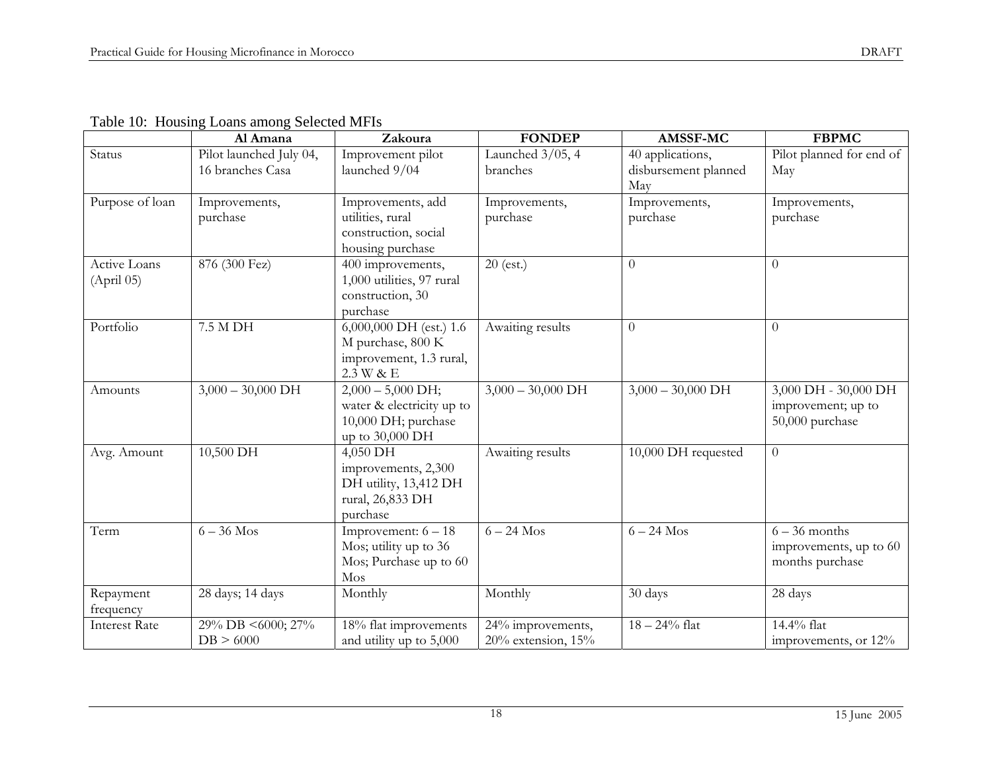|                            | Al Amana                                    | Zakoura                                                                                    | <b>FONDEP</b>                                 | AMSSF-MC                                        | <b>FBPMC</b>                                                  |
|----------------------------|---------------------------------------------|--------------------------------------------------------------------------------------------|-----------------------------------------------|-------------------------------------------------|---------------------------------------------------------------|
| Status                     | Pilot launched July 04,<br>16 branches Casa | Improvement pilot<br>launched 9/04                                                         | Launched $3/05$ , 4<br>branches               | 40 applications,<br>disbursement planned<br>May | Pilot planned for end of<br>May                               |
| Purpose of loan            | Improvements,<br>purchase                   | Improvements, add<br>utilities, rural<br>construction, social<br>housing purchase          | Improvements,<br>purchase                     | Improvements,<br>purchase                       | Improvements,<br>purchase                                     |
| Active Loans<br>(April 05) | 876 (300 Fez)                               | 400 improvements,<br>1,000 utilities, 97 rural<br>construction, 30<br>purchase             | $20$ (est.)                                   | $\Omega$                                        | $\Omega$                                                      |
| Portfolio                  | 7.5 M DH                                    | 6,000,000 DH (est.) 1.6<br>M purchase, 800 K<br>improvement, 1.3 rural,<br>2.3 W & E       | Awaiting results                              | $\overline{0}$                                  | $\Omega$                                                      |
| Amounts                    | $3,000 - 30,000$ DH                         | $2,000 - 5,000$ DH;<br>water & electricity up to<br>10,000 DH; purchase<br>up to 30,000 DH | $3,000 - 30,000$ DH                           | $3,000 - 30,000$ DH                             | 3,000 DH - 30,000 DH<br>improvement; up to<br>50,000 purchase |
| Avg. Amount                | 10,500 DH                                   | 4,050 DH<br>improvements, 2,300<br>DH utility, 13,412 DH<br>rural, 26,833 DH<br>purchase   | Awaiting results                              | 10,000 DH requested                             | $\overline{0}$                                                |
| Term                       | $6-36$ Mos                                  | Improvement: $6 - 18$<br>Mos; utility up to 36<br>Mos; Purchase up to 60<br>Mos            | $6-24$ Mos                                    | $6-24$ Mos                                      | $6 - 36$ months<br>improvements, up to 60<br>months purchase  |
| Repayment<br>frequency     | 28 days; 14 days                            | Monthly                                                                                    | Monthly                                       | 30 days                                         | 28 days                                                       |
| <b>Interest Rate</b>       | 29% DB <6000; 27%<br>DB > 6000              | 18% flat improvements<br>and utility up to 5,000                                           | 24% improvements,<br>$20\%$ extension, $15\%$ | $18 - 24\%$ flat                                | 14.4% flat<br>improvements, or 12%                            |

Table 10: Housing Loans among Selected MFIs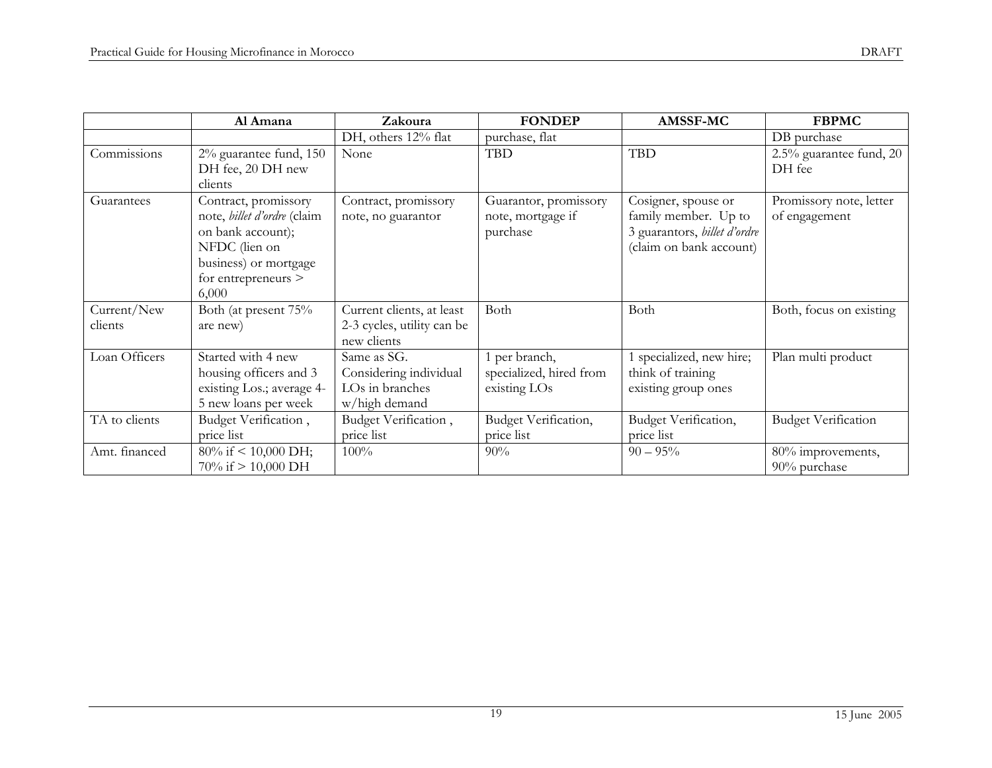ா

|               | Al Amana                           | Zakoura                    | <b>FONDEP</b>           | <b>AMSSF-MC</b>              | <b>FBPMC</b>               |
|---------------|------------------------------------|----------------------------|-------------------------|------------------------------|----------------------------|
|               |                                    | DH, others 12% flat        | purchase, flat          |                              | DB purchase                |
| Commissions   | 2% guarantee fund, 150             | None                       | <b>TBD</b>              | <b>TBD</b>                   | 2.5% guarantee fund, 20    |
|               | DH fee, 20 DH new                  |                            |                         |                              | DH fee                     |
|               | clients                            |                            |                         |                              |                            |
| Guarantees    | Contract, promissory               | Contract, promissory       | Guarantor, promissory   | Cosigner, spouse or          | Promissory note, letter    |
|               | note, <i>billet d'ordre</i> (claim | note, no guarantor         | note, mortgage if       | family member. Up to         | of engagement              |
|               | on bank account);                  |                            | purchase                | 3 guarantors, billet d'ordre |                            |
|               | NFDC (lien on                      |                            |                         | (claim on bank account)      |                            |
|               | business) or mortgage              |                            |                         |                              |                            |
|               | for entrepreneurs >                |                            |                         |                              |                            |
|               | 6,000                              |                            |                         |                              |                            |
| Current/New   | Both (at present 75%               | Current clients, at least  | Both                    | Both                         | Both, focus on existing    |
| clients       | are new)                           | 2-3 cycles, utility can be |                         |                              |                            |
|               |                                    | new clients                |                         |                              |                            |
| Loan Officers | Started with 4 new                 | Same as SG.                | 1 per branch,           | 1 specialized, new hire;     | Plan multi product         |
|               | housing officers and 3             | Considering individual     | specialized, hired from | think of training            |                            |
|               | existing Los.; average 4-          | LOs in branches            | existing LOs            | existing group ones          |                            |
|               | 5 new loans per week               | w/high demand              |                         |                              |                            |
| TA to clients | Budget Verification,               | Budget Verification,       | Budget Verification,    | Budget Verification,         | <b>Budget Verification</b> |
|               | price list                         | price list                 | price list              | price list                   |                            |
| Amt. financed | $80\%$ if < 10,000 DH;             | $100\%$                    | $90\%$                  | $90 - 95\%$                  | 80% improvements,          |
|               | $70\%$ if $> 10,000$ DH            |                            |                         |                              | 90% purchase               |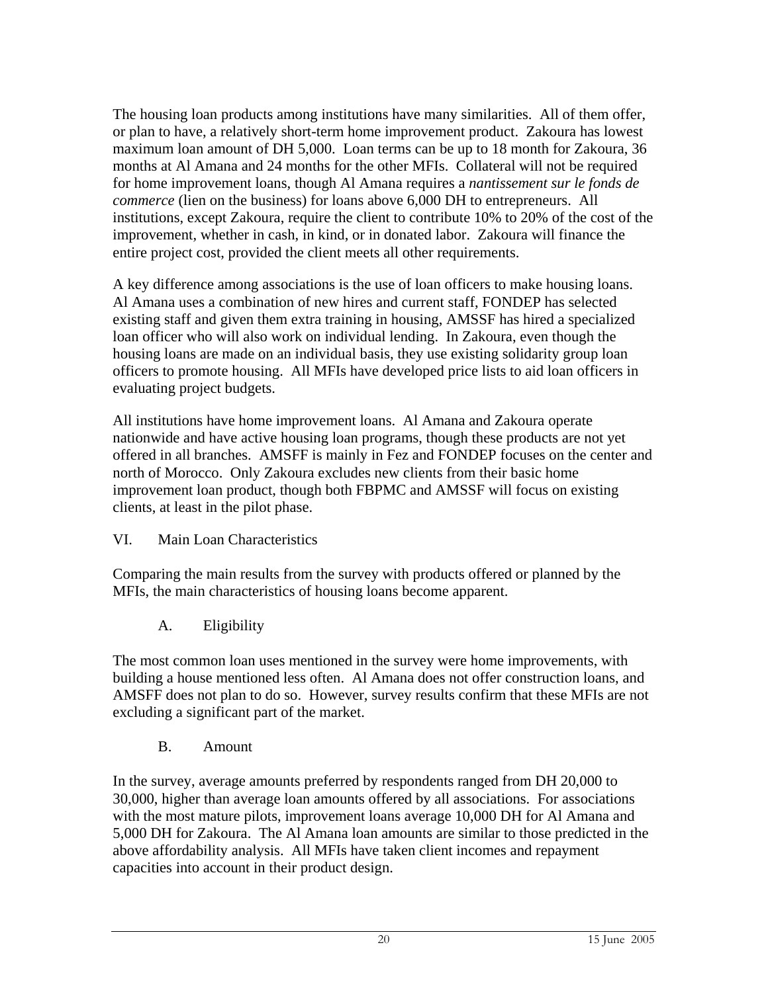The housing loan products among institutions have many similarities. All of them offer, or plan to have, a relatively short-term home improvement product. Zakoura has lowest maximum loan amount of DH 5,000. Loan terms can be up to 18 month for Zakoura, 36 months at Al Amana and 24 months for the other MFIs. Collateral will not be required for home improvement loans, though Al Amana requires a *nantissement sur le fonds de commerce* (lien on the business) for loans above 6,000 DH to entrepreneurs. All institutions, except Zakoura, require the client to contribute 10% to 20% of the cost of the improvement, whether in cash, in kind, or in donated labor. Zakoura will finance the entire project cost, provided the client meets all other requirements.

A key difference among associations is the use of loan officers to make housing loans. Al Amana uses a combination of new hires and current staff, FONDEP has selected existing staff and given them extra training in housing, AMSSF has hired a specialized loan officer who will also work on individual lending. In Zakoura, even though the housing loans are made on an individual basis, they use existing solidarity group loan officers to promote housing. All MFIs have developed price lists to aid loan officers in evaluating project budgets.

All institutions have home improvement loans. Al Amana and Zakoura operate nationwide and have active housing loan programs, though these products are not yet offered in all branches. AMSFF is mainly in Fez and FONDEP focuses on the center and north of Morocco. Only Zakoura excludes new clients from their basic home improvement loan product, though both FBPMC and AMSSF will focus on existing clients, at least in the pilot phase.

# VI. Main Loan Characteristics

Comparing the main results from the survey with products offered or planned by the MFIs, the main characteristics of housing loans become apparent.

A. Eligibility

The most common loan uses mentioned in the survey were home improvements, with building a house mentioned less often. Al Amana does not offer construction loans, and AMSFF does not plan to do so. However, survey results confirm that these MFIs are not excluding a significant part of the market.

# B. Amount

In the survey, average amounts preferred by respondents ranged from DH 20,000 to 30,000, higher than average loan amounts offered by all associations. For associations with the most mature pilots, improvement loans average 10,000 DH for Al Amana and 5,000 DH for Zakoura. The Al Amana loan amounts are similar to those predicted in the above affordability analysis. All MFIs have taken client incomes and repayment capacities into account in their product design.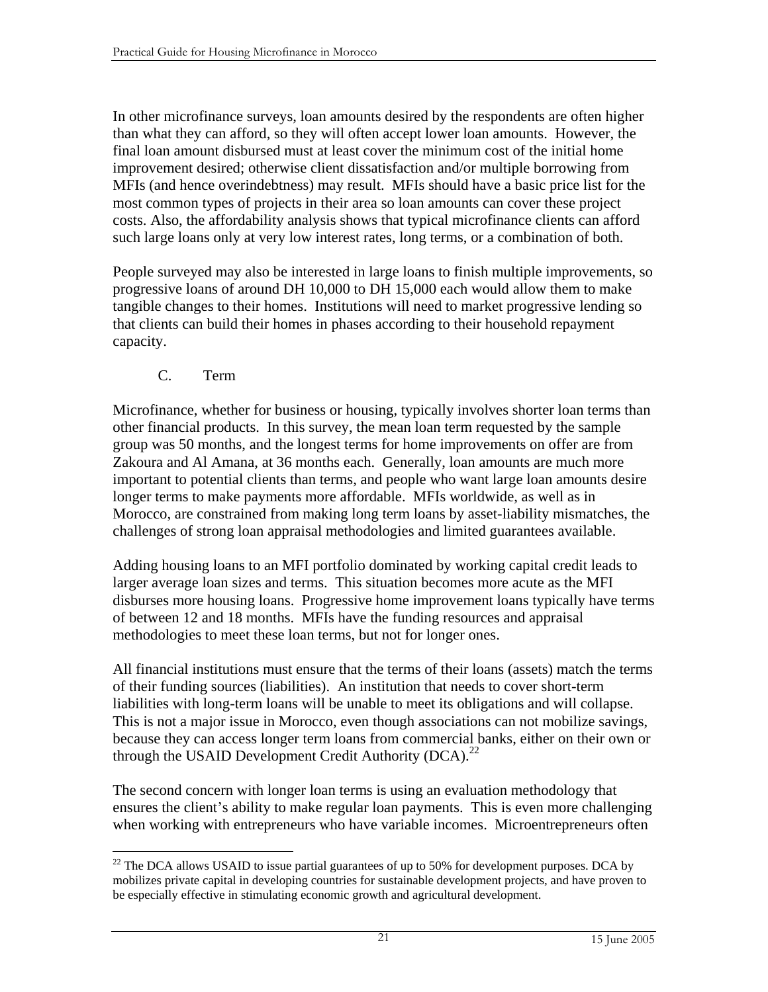In other microfinance surveys, loan amounts desired by the respondents are often higher than what they can afford, so they will often accept lower loan amounts. However, the final loan amount disbursed must at least cover the minimum cost of the initial home improvement desired; otherwise client dissatisfaction and/or multiple borrowing from MFIs (and hence overindebtness) may result. MFIs should have a basic price list for the most common types of projects in their area so loan amounts can cover these project costs. Also, the affordability analysis shows that typical microfinance clients can afford such large loans only at very low interest rates, long terms, or a combination of both.

People surveyed may also be interested in large loans to finish multiple improvements, so progressive loans of around DH 10,000 to DH 15,000 each would allow them to make tangible changes to their homes. Institutions will need to market progressive lending so that clients can build their homes in phases according to their household repayment capacity.

### C. Term

Microfinance, whether for business or housing, typically involves shorter loan terms than other financial products. In this survey, the mean loan term requested by the sample group was 50 months, and the longest terms for home improvements on offer are from Zakoura and Al Amana, at 36 months each. Generally, loan amounts are much more important to potential clients than terms, and people who want large loan amounts desire longer terms to make payments more affordable. MFIs worldwide, as well as in Morocco, are constrained from making long term loans by asset-liability mismatches, the challenges of strong loan appraisal methodologies and limited guarantees available.

Adding housing loans to an MFI portfolio dominated by working capital credit leads to larger average loan sizes and terms. This situation becomes more acute as the MFI disburses more housing loans. Progressive home improvement loans typically have terms of between 12 and 18 months. MFIs have the funding resources and appraisal methodologies to meet these loan terms, but not for longer ones.

All financial institutions must ensure that the terms of their loans (assets) match the terms of their funding sources (liabilities). An institution that needs to cover short-term liabilities with long-term loans will be unable to meet its obligations and will collapse. This is not a major issue in Morocco, even though associations can not mobilize savings, because they can access longer term loans from commercial banks, either on their own or through the USAID Development Credit Authority (DCA).<sup>22</sup>

The second concern with longer loan terms is using an evaluation methodology that ensures the client's ability to make regular loan payments. This is even more challenging when working with entrepreneurs who have variable incomes. Microentrepreneurs often

 $\overline{a}$  $22$  The DCA allows USAID to issue partial guarantees of up to 50% for development purposes. DCA by mobilizes private capital in developing countries for sustainable development projects, and have proven to be especially effective in stimulating economic growth and agricultural development.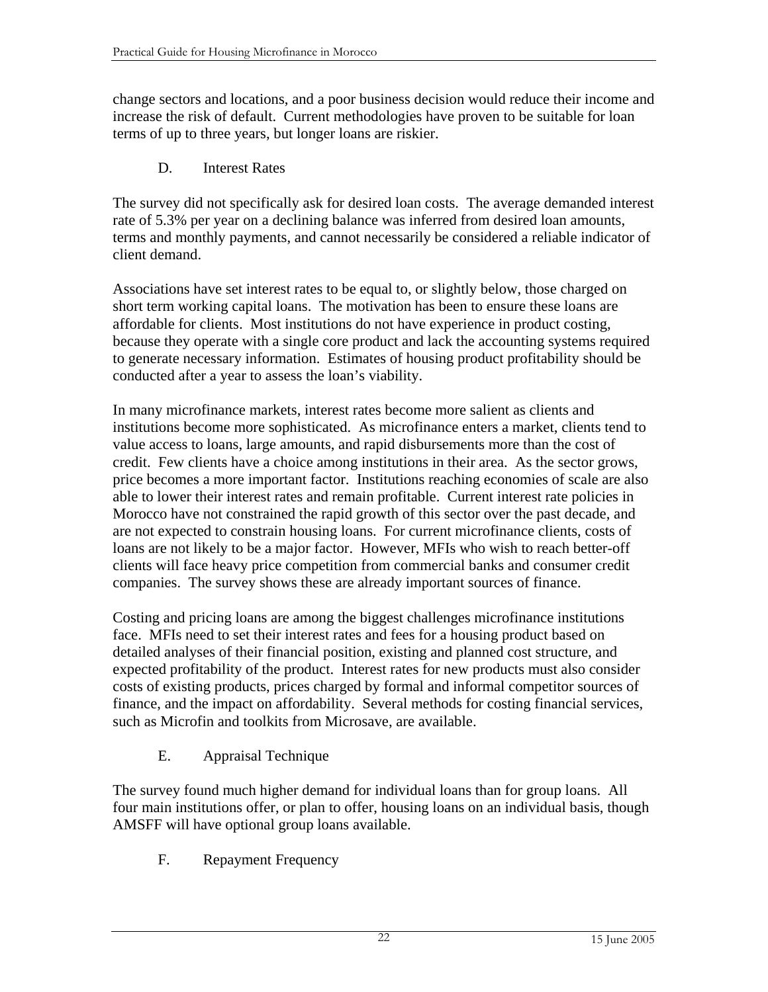change sectors and locations, and a poor business decision would reduce their income and increase the risk of default. Current methodologies have proven to be suitable for loan terms of up to three years, but longer loans are riskier.

D. Interest Rates

The survey did not specifically ask for desired loan costs. The average demanded interest rate of 5.3% per year on a declining balance was inferred from desired loan amounts, terms and monthly payments, and cannot necessarily be considered a reliable indicator of client demand.

Associations have set interest rates to be equal to, or slightly below, those charged on short term working capital loans. The motivation has been to ensure these loans are affordable for clients. Most institutions do not have experience in product costing, because they operate with a single core product and lack the accounting systems required to generate necessary information. Estimates of housing product profitability should be conducted after a year to assess the loan's viability.

In many microfinance markets, interest rates become more salient as clients and institutions become more sophisticated. As microfinance enters a market, clients tend to value access to loans, large amounts, and rapid disbursements more than the cost of credit. Few clients have a choice among institutions in their area. As the sector grows, price becomes a more important factor. Institutions reaching economies of scale are also able to lower their interest rates and remain profitable. Current interest rate policies in Morocco have not constrained the rapid growth of this sector over the past decade, and are not expected to constrain housing loans. For current microfinance clients, costs of loans are not likely to be a major factor. However, MFIs who wish to reach better-off clients will face heavy price competition from commercial banks and consumer credit companies. The survey shows these are already important sources of finance.

Costing and pricing loans are among the biggest challenges microfinance institutions face. MFIs need to set their interest rates and fees for a housing product based on detailed analyses of their financial position, existing and planned cost structure, and expected profitability of the product. Interest rates for new products must also consider costs of existing products, prices charged by formal and informal competitor sources of finance, and the impact on affordability. Several methods for costing financial services, such as Microfin and toolkits from Microsave, are available.

E. Appraisal Technique

The survey found much higher demand for individual loans than for group loans. All four main institutions offer, or plan to offer, housing loans on an individual basis, though AMSFF will have optional group loans available.

F. Repayment Frequency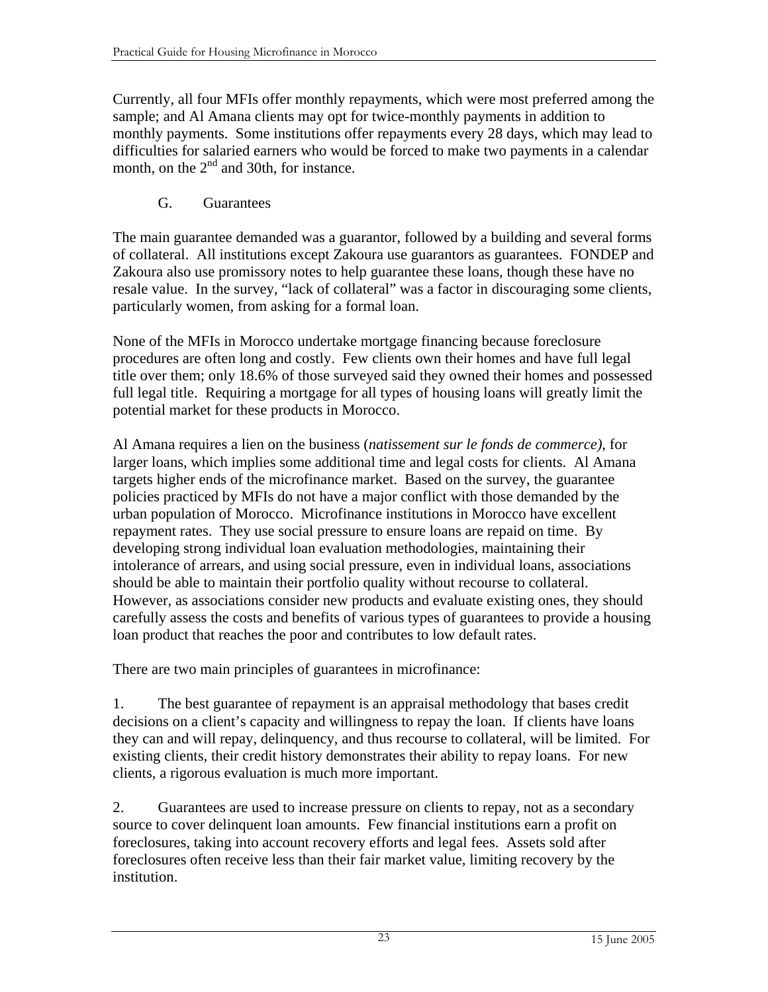Currently, all four MFIs offer monthly repayments, which were most preferred among the sample; and Al Amana clients may opt for twice-monthly payments in addition to monthly payments. Some institutions offer repayments every 28 days, which may lead to difficulties for salaried earners who would be forced to make two payments in a calendar month, on the  $2<sup>nd</sup>$  and 30th, for instance.

G. Guarantees

The main guarantee demanded was a guarantor, followed by a building and several forms of collateral. All institutions except Zakoura use guarantors as guarantees. FONDEP and Zakoura also use promissory notes to help guarantee these loans, though these have no resale value. In the survey, "lack of collateral" was a factor in discouraging some clients, particularly women, from asking for a formal loan.

None of the MFIs in Morocco undertake mortgage financing because foreclosure procedures are often long and costly. Few clients own their homes and have full legal title over them; only 18.6% of those surveyed said they owned their homes and possessed full legal title. Requiring a mortgage for all types of housing loans will greatly limit the potential market for these products in Morocco.

Al Amana requires a lien on the business (*natissement sur le fonds de commerce)*, for larger loans, which implies some additional time and legal costs for clients. Al Amana targets higher ends of the microfinance market. Based on the survey, the guarantee policies practiced by MFIs do not have a major conflict with those demanded by the urban population of Morocco. Microfinance institutions in Morocco have excellent repayment rates. They use social pressure to ensure loans are repaid on time. By developing strong individual loan evaluation methodologies, maintaining their intolerance of arrears, and using social pressure, even in individual loans, associations should be able to maintain their portfolio quality without recourse to collateral. However, as associations consider new products and evaluate existing ones, they should carefully assess the costs and benefits of various types of guarantees to provide a housing loan product that reaches the poor and contributes to low default rates.

There are two main principles of guarantees in microfinance:

1. The best guarantee of repayment is an appraisal methodology that bases credit decisions on a client's capacity and willingness to repay the loan. If clients have loans they can and will repay, delinquency, and thus recourse to collateral, will be limited. For existing clients, their credit history demonstrates their ability to repay loans. For new clients, a rigorous evaluation is much more important.

2. Guarantees are used to increase pressure on clients to repay, not as a secondary source to cover delinquent loan amounts. Few financial institutions earn a profit on foreclosures, taking into account recovery efforts and legal fees. Assets sold after foreclosures often receive less than their fair market value, limiting recovery by the institution.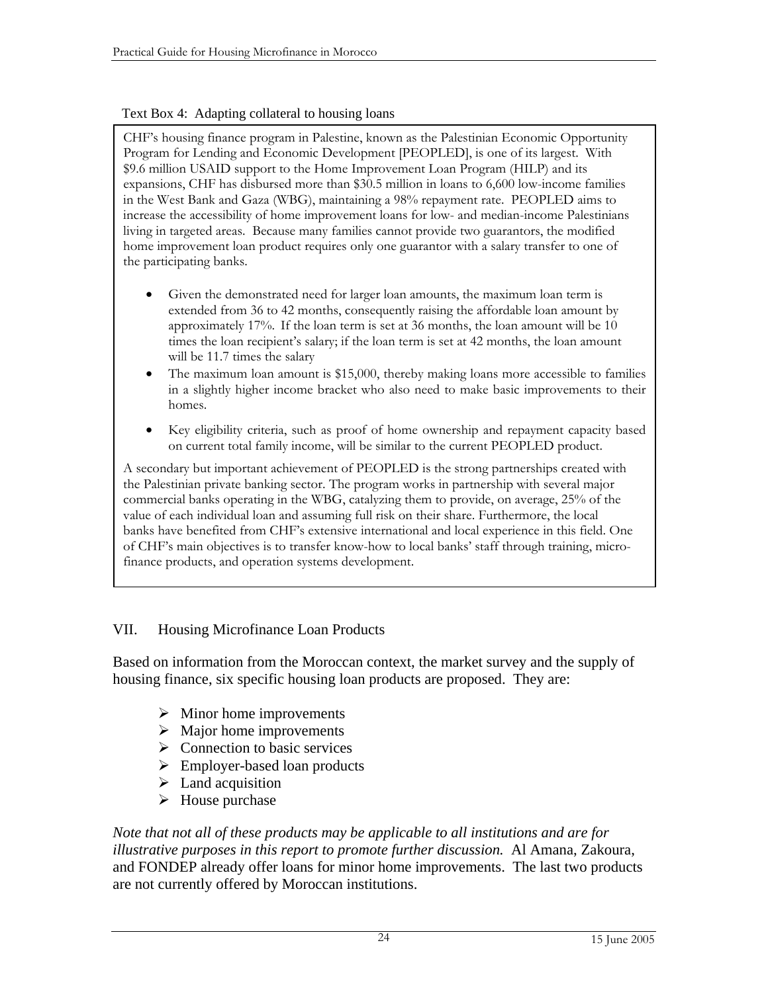#### Text Box 4: Adapting collateral to housing loans

CHF's housing finance program in Palestine, known as the Palestinian Economic Opportunity Program for Lending and Economic Development [PEOPLED], is one of its largest. With \$9.6 million USAID support to the Home Improvement Loan Program (HILP) and its expansions, CHF has disbursed more than \$30.5 million in loans to 6,600 low-income families in the West Bank and Gaza (WBG), maintaining a 98% repayment rate. PEOPLED aims to increase the accessibility of home improvement loans for low- and median-income Palestinians living in targeted areas. Because many families cannot provide two guarantors, the modified home improvement loan product requires only one guarantor with a salary transfer to one of the participating banks.

- Given the demonstrated need for larger loan amounts, the maximum loan term is extended from 36 to 42 months, consequently raising the affordable loan amount by approximately 17%. If the loan term is set at 36 months, the loan amount will be 10 times the loan recipient's salary; if the loan term is set at 42 months, the loan amount will be 11.7 times the salary
- The maximum loan amount is \$15,000, thereby making loans more accessible to families in a slightly higher income bracket who also need to make basic improvements to their homes.
- Key eligibility criteria, such as proof of home ownership and repayment capacity based on current total family income, will be similar to the current PEOPLED product.

A secondary but important achievement of PEOPLED is the strong partnerships created with the Palestinian private banking sector. The program works in partnership with several major commercial banks operating in the WBG, catalyzing them to provide, on average, 25% of the value of each individual loan and assuming full risk on their share. Furthermore, the local banks have benefited from CHF's extensive international and local experience in this field. One of CHF's main objectives is to transfer know-how to local banks' staff through training, microfinance products, and operation systems development.

# VII. Housing Microfinance Loan Products

Based on information from the Moroccan context, the market survey and the supply of housing finance, six specific housing loan products are proposed. They are:

- $\triangleright$  Minor home improvements
- $\triangleright$  Major home improvements
- $\triangleright$  Connection to basic services
- $\triangleright$  Employer-based loan products
- $\triangleright$  Land acquisition
- $\triangleright$  House purchase

*Note that not all of these products may be applicable to all institutions and are for illustrative purposes in this report to promote further discussion.* Al Amana, Zakoura, and FONDEP already offer loans for minor home improvements. The last two products are not currently offered by Moroccan institutions.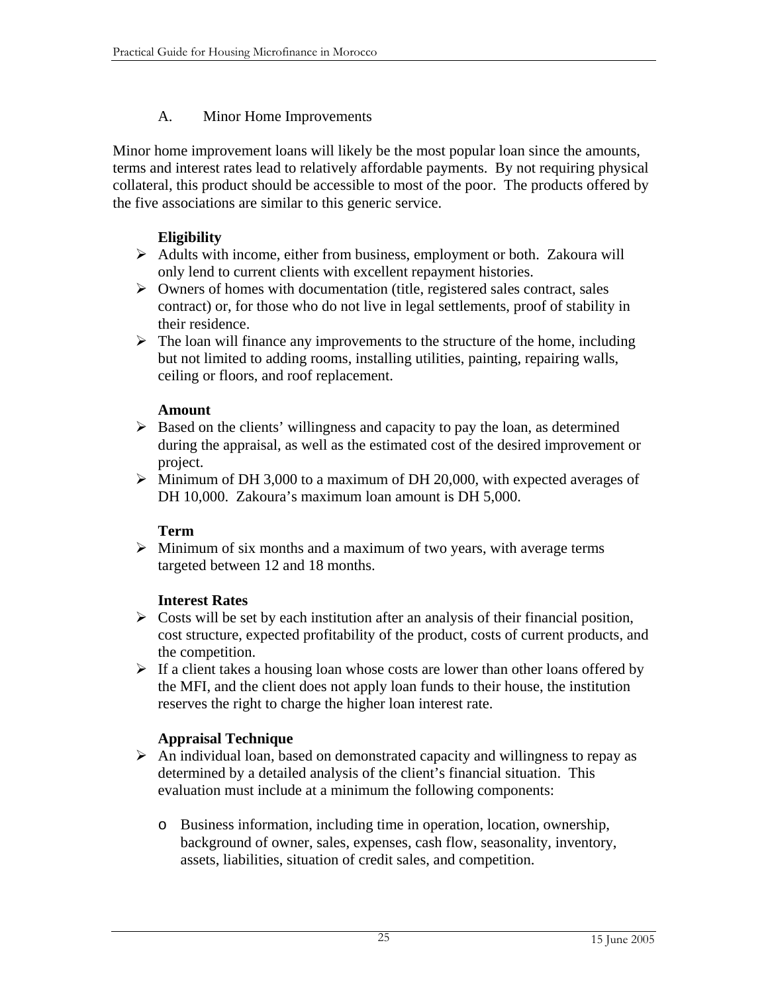### A. Minor Home Improvements

Minor home improvement loans will likely be the most popular loan since the amounts, terms and interest rates lead to relatively affordable payments. By not requiring physical collateral, this product should be accessible to most of the poor. The products offered by the five associations are similar to this generic service.

### **Eligibility**

- ¾ Adults with income, either from business, employment or both. Zakoura will only lend to current clients with excellent repayment histories.
- $\triangleright$  Owners of homes with documentation (title, registered sales contract, sales contract) or, for those who do not live in legal settlements, proof of stability in their residence.
- $\triangleright$  The loan will finance any improvements to the structure of the home, including but not limited to adding rooms, installing utilities, painting, repairing walls, ceiling or floors, and roof replacement.

### **Amount**

- $\triangleright$  Based on the clients' willingness and capacity to pay the loan, as determined during the appraisal, as well as the estimated cost of the desired improvement or project.
- $\triangleright$  Minimum of DH 3,000 to a maximum of DH 20,000, with expected averages of DH 10,000. Zakoura's maximum loan amount is DH 5,000.

### **Term**

 $\triangleright$  Minimum of six months and a maximum of two years, with average terms targeted between 12 and 18 months.

### **Interest Rates**

- $\triangleright$  Costs will be set by each institution after an analysis of their financial position, cost structure, expected profitability of the product, costs of current products, and the competition.
- $\triangleright$  If a client takes a housing loan whose costs are lower than other loans offered by the MFI, and the client does not apply loan funds to their house, the institution reserves the right to charge the higher loan interest rate.

# **Appraisal Technique**

- $\triangleright$  An individual loan, based on demonstrated capacity and willingness to repay as determined by a detailed analysis of the client's financial situation. This evaluation must include at a minimum the following components:
	- o Business information, including time in operation, location, ownership, background of owner, sales, expenses, cash flow, seasonality, inventory, assets, liabilities, situation of credit sales, and competition.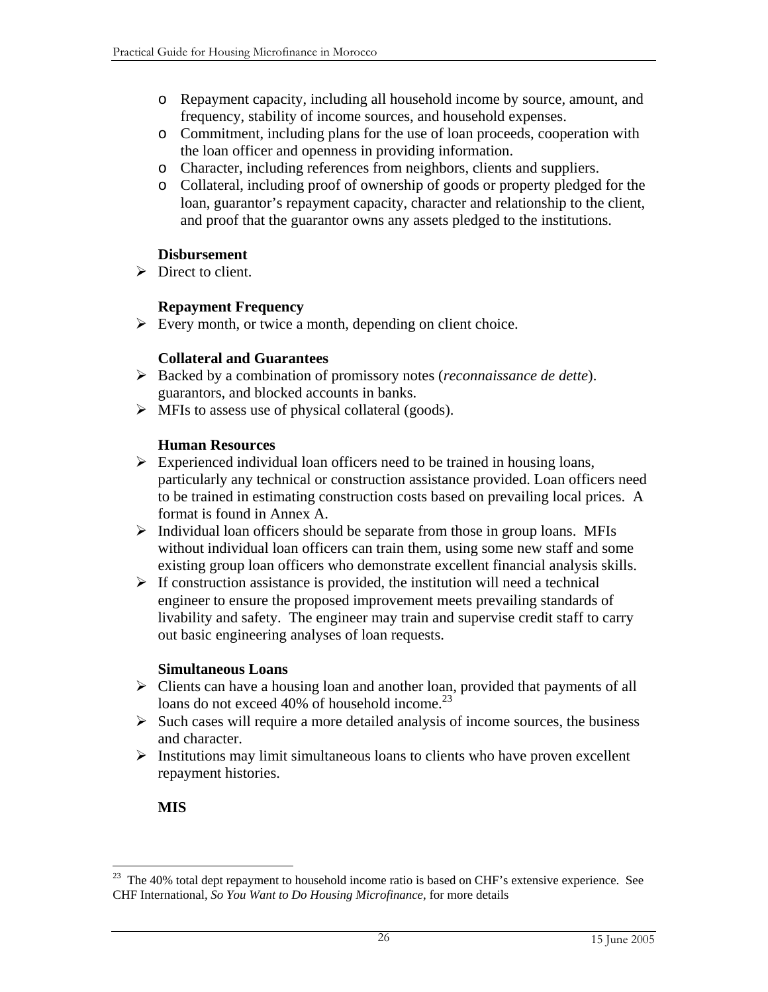- o Repayment capacity, including all household income by source, amount, and frequency, stability of income sources, and household expenses.
- o Commitment, including plans for the use of loan proceeds, cooperation with the loan officer and openness in providing information.
- o Character, including references from neighbors, clients and suppliers.
- o Collateral, including proof of ownership of goods or property pledged for the loan, guarantor's repayment capacity, character and relationship to the client, and proof that the guarantor owns any assets pledged to the institutions.

### **Disbursement**

 $\triangleright$  Direct to client.

#### **Repayment Frequency**

 $\triangleright$  Every month, or twice a month, depending on client choice.

#### **Collateral and Guarantees**

- ¾ Backed by a combination of promissory notes (*reconnaissance de dette*). guarantors, and blocked accounts in banks.
- $\triangleright$  MFIs to assess use of physical collateral (goods).

#### **Human Resources**

- $\triangleright$  Experienced individual loan officers need to be trained in housing loans, particularly any technical or construction assistance provided. Loan officers need to be trained in estimating construction costs based on prevailing local prices. A format is found in Annex A.
- ¾ Individual loan officers should be separate from those in group loans. MFIs without individual loan officers can train them, using some new staff and some existing group loan officers who demonstrate excellent financial analysis skills.
- $\triangleright$  If construction assistance is provided, the institution will need a technical engineer to ensure the proposed improvement meets prevailing standards of livability and safety. The engineer may train and supervise credit staff to carry out basic engineering analyses of loan requests.

#### **Simultaneous Loans**

- ¾ Clients can have a housing loan and another loan, provided that payments of all loans do not exceed 40% of household income.<sup>23</sup>
- $\triangleright$  Such cases will require a more detailed analysis of income sources, the business and character.
- $\triangleright$  Institutions may limit simultaneous loans to clients who have proven excellent repayment histories.

### **MIS**

 $\overline{a}$ 

 $23$  The 40% total dept repayment to household income ratio is based on CHF's extensive experience. See CHF International, *So You Want to Do Housing Microfinance*, for more details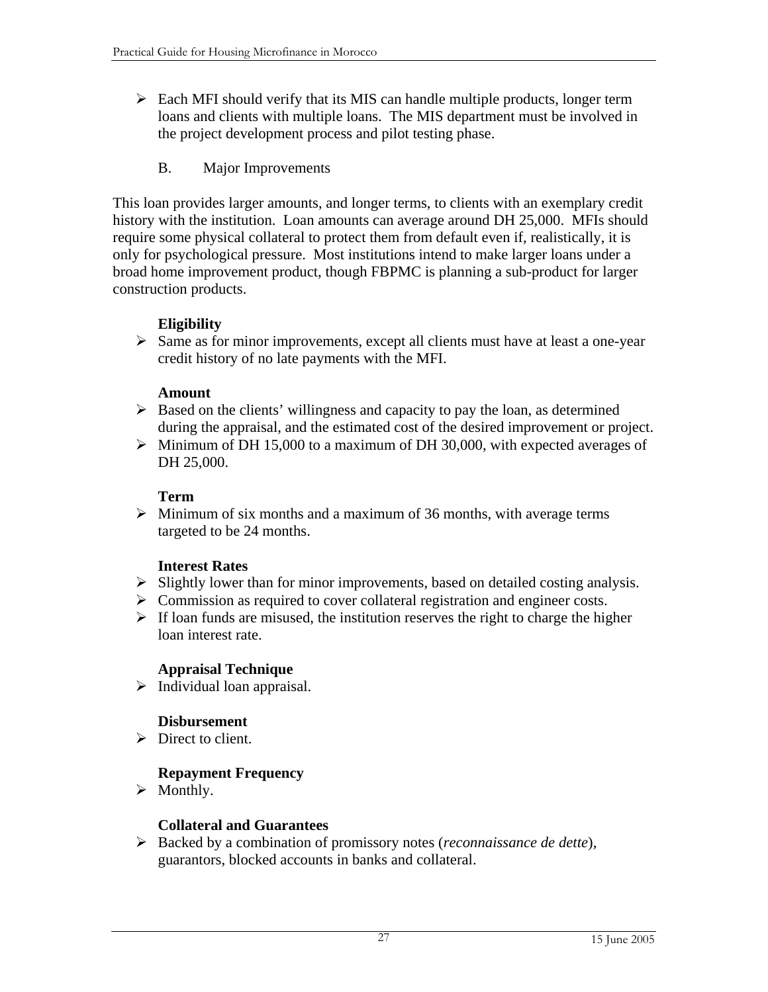- $\triangleright$  Each MFI should verify that its MIS can handle multiple products, longer term loans and clients with multiple loans. The MIS department must be involved in the project development process and pilot testing phase.
	- B. Major Improvements

This loan provides larger amounts, and longer terms, to clients with an exemplary credit history with the institution. Loan amounts can average around DH 25,000. MFIs should require some physical collateral to protect them from default even if, realistically, it is only for psychological pressure. Most institutions intend to make larger loans under a broad home improvement product, though FBPMC is planning a sub-product for larger construction products.

# **Eligibility**

 $\triangleright$  Same as for minor improvements, except all clients must have at least a one-year credit history of no late payments with the MFI.

### **Amount**

- $\triangleright$  Based on the clients' willingness and capacity to pay the loan, as determined during the appraisal, and the estimated cost of the desired improvement or project.
- ¾ Minimum of DH 15,000 to a maximum of DH 30,000, with expected averages of DH 25,000.

### **Term**

 $\triangleright$  Minimum of six months and a maximum of 36 months, with average terms targeted to be 24 months.

### **Interest Rates**

- $\triangleright$  Slightly lower than for minor improvements, based on detailed costing analysis.
- $\triangleright$  Commission as required to cover collateral registration and engineer costs.
- $\triangleright$  If loan funds are misused, the institution reserves the right to charge the higher loan interest rate.

### **Appraisal Technique**

 $\triangleright$  Individual loan appraisal.

### **Disbursement**

 $\triangleright$  Direct to client.

### **Repayment Frequency**

 $\triangleright$  Monthly.

#### **Collateral and Guarantees**

¾ Backed by a combination of promissory notes (*reconnaissance de dette*), guarantors, blocked accounts in banks and collateral.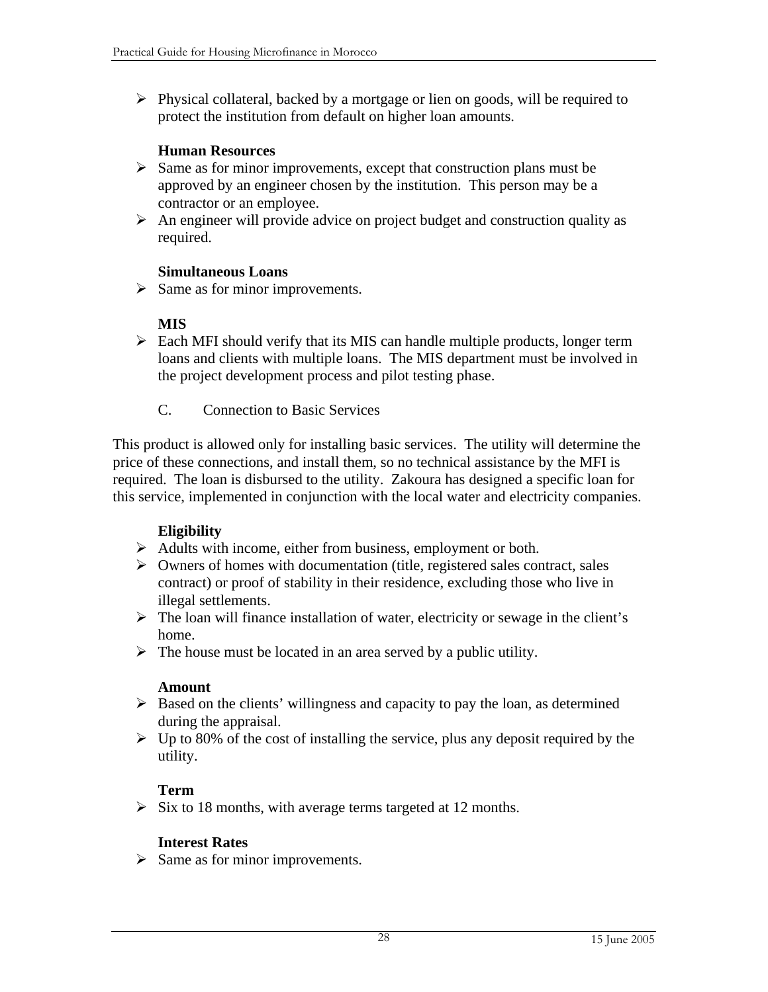$\triangleright$  Physical collateral, backed by a mortgage or lien on goods, will be required to protect the institution from default on higher loan amounts.

#### **Human Resources**

- $\triangleright$  Same as for minor improvements, except that construction plans must be approved by an engineer chosen by the institution. This person may be a contractor or an employee.
- $\triangleright$  An engineer will provide advice on project budget and construction quality as required.

#### **Simultaneous Loans**

 $\triangleright$  Same as for minor improvements.

### **MIS**

- ¾ Each MFI should verify that its MIS can handle multiple products, longer term loans and clients with multiple loans. The MIS department must be involved in the project development process and pilot testing phase.
	- C. Connection to Basic Services

This product is allowed only for installing basic services. The utility will determine the price of these connections, and install them, so no technical assistance by the MFI is required. The loan is disbursed to the utility. Zakoura has designed a specific loan for this service, implemented in conjunction with the local water and electricity companies.

### **Eligibility**

- ¾ Adults with income, either from business, employment or both.
- $\triangleright$  Owners of homes with documentation (title, registered sales contract, sales contract) or proof of stability in their residence, excluding those who live in illegal settlements.
- ¾ The loan will finance installation of water, electricity or sewage in the client's home.
- $\triangleright$  The house must be located in an area served by a public utility.

#### **Amount**

- $\triangleright$  Based on the clients' willingness and capacity to pay the loan, as determined during the appraisal.
- $\triangleright$  Up to 80% of the cost of installing the service, plus any deposit required by the utility.

### **Term**

 $\triangleright$  Six to 18 months, with average terms targeted at 12 months.

### **Interest Rates**

 $\triangleright$  Same as for minor improvements.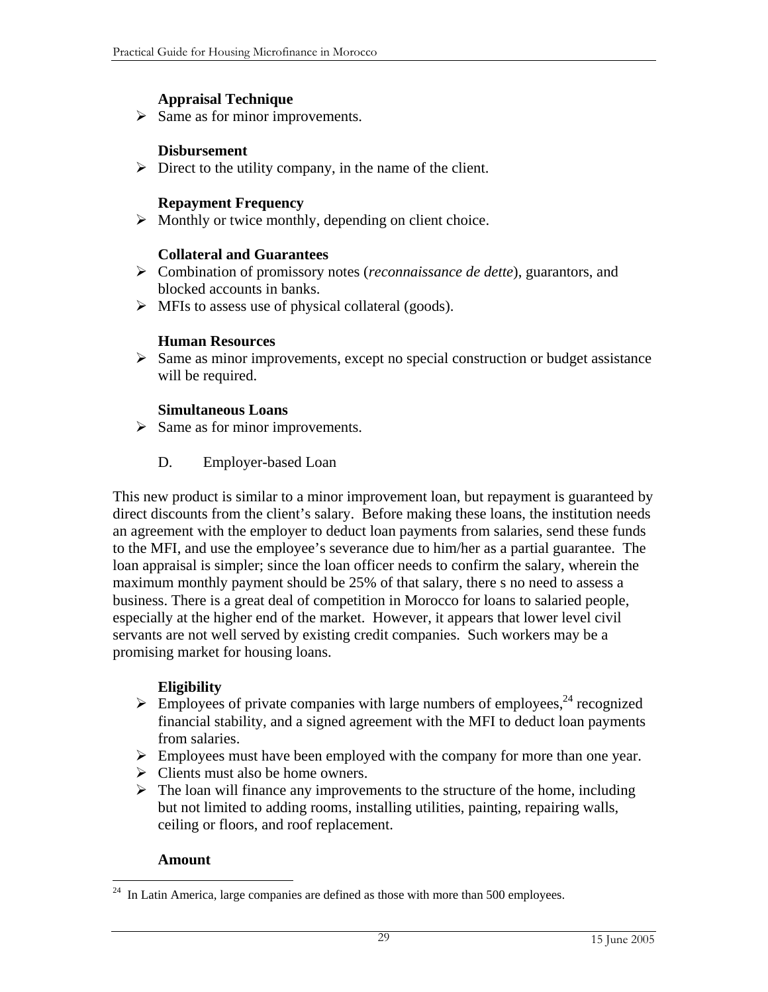#### **Appraisal Technique**

 $\triangleright$  Same as for minor improvements.

#### **Disbursement**

 $\triangleright$  Direct to the utility company, in the name of the client.

#### **Repayment Frequency**

 $\triangleright$  Monthly or twice monthly, depending on client choice.

#### **Collateral and Guarantees**

- ¾ Combination of promissory notes (*reconnaissance de dette*), guarantors, and blocked accounts in banks.
- $\triangleright$  MFIs to assess use of physical collateral (goods).

#### **Human Resources**

 $\triangleright$  Same as minor improvements, except no special construction or budget assistance will be required.

### **Simultaneous Loans**

- $\triangleright$  Same as for minor improvements.
	- D. Employer-based Loan

This new product is similar to a minor improvement loan, but repayment is guaranteed by direct discounts from the client's salary. Before making these loans, the institution needs an agreement with the employer to deduct loan payments from salaries, send these funds to the MFI, and use the employee's severance due to him/her as a partial guarantee. The loan appraisal is simpler; since the loan officer needs to confirm the salary, wherein the maximum monthly payment should be 25% of that salary, there s no need to assess a business. There is a great deal of competition in Morocco for loans to salaried people, especially at the higher end of the market. However, it appears that lower level civil servants are not well served by existing credit companies. Such workers may be a promising market for housing loans.

### **Eligibility**

- $\triangleright$  Employees of private companies with large numbers of employees,<sup>24</sup> recognized financial stability, and a signed agreement with the MFI to deduct loan payments from salaries.
- $\triangleright$  Employees must have been employed with the company for more than one year.
- $\triangleright$  Clients must also be home owners.
- $\triangleright$  The loan will finance any improvements to the structure of the home, including but not limited to adding rooms, installing utilities, painting, repairing walls, ceiling or floors, and roof replacement.

#### **Amount**

 $\overline{a}$  $24$  In Latin America, large companies are defined as those with more than 500 employees.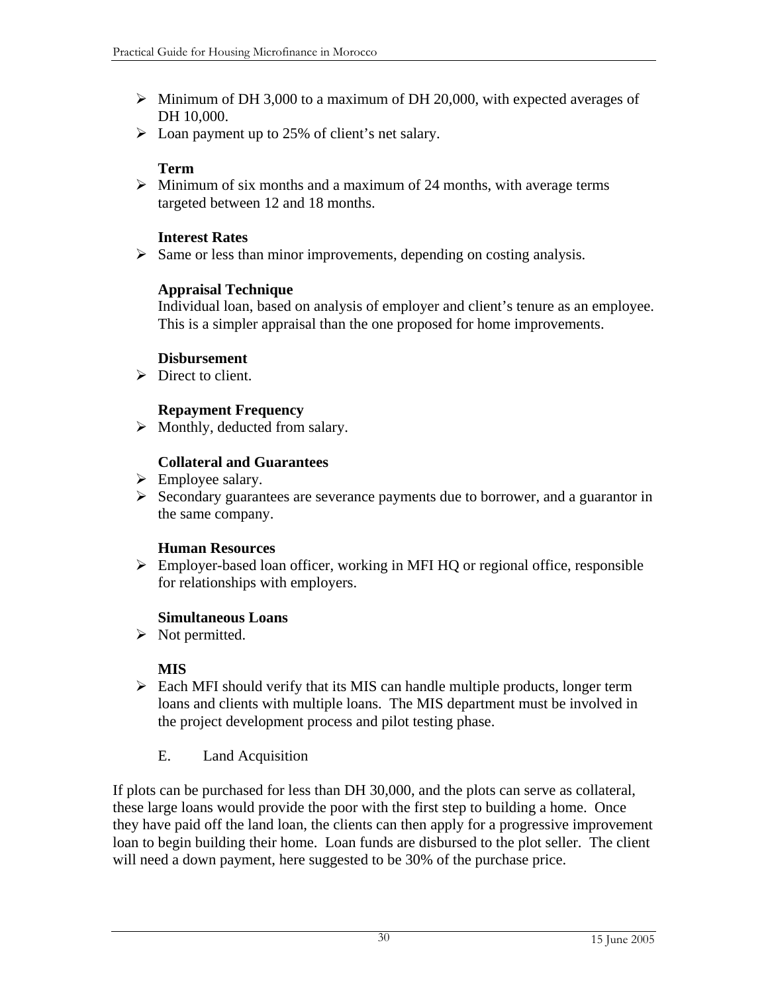- $\triangleright$  Minimum of DH 3,000 to a maximum of DH 20,000, with expected averages of DH 10,000.
- $\blacktriangleright$  Loan payment up to 25% of client's net salary.

### **Term**

 $\triangleright$  Minimum of six months and a maximum of 24 months, with average terms targeted between 12 and 18 months.

#### **Interest Rates**

 $\triangleright$  Same or less than minor improvements, depending on costing analysis.

#### **Appraisal Technique**

Individual loan, based on analysis of employer and client's tenure as an employee. This is a simpler appraisal than the one proposed for home improvements.

#### **Disbursement**

 $\triangleright$  Direct to client.

### **Repayment Frequency**

 $\triangleright$  Monthly, deducted from salary.

### **Collateral and Guarantees**

- $\triangleright$  Employee salary.
- ¾ Secondary guarantees are severance payments due to borrower, and a guarantor in the same company.

### **Human Resources**

¾ Employer-based loan officer, working in MFI HQ or regional office, responsible for relationships with employers.

#### **Simultaneous Loans**

 $\triangleright$  Not permitted.

### **MIS**

- $\triangleright$  Each MFI should verify that its MIS can handle multiple products, longer term loans and clients with multiple loans. The MIS department must be involved in the project development process and pilot testing phase.
	- E. Land Acquisition

If plots can be purchased for less than DH 30,000, and the plots can serve as collateral, these large loans would provide the poor with the first step to building a home. Once they have paid off the land loan, the clients can then apply for a progressive improvement loan to begin building their home. Loan funds are disbursed to the plot seller. The client will need a down payment, here suggested to be 30% of the purchase price.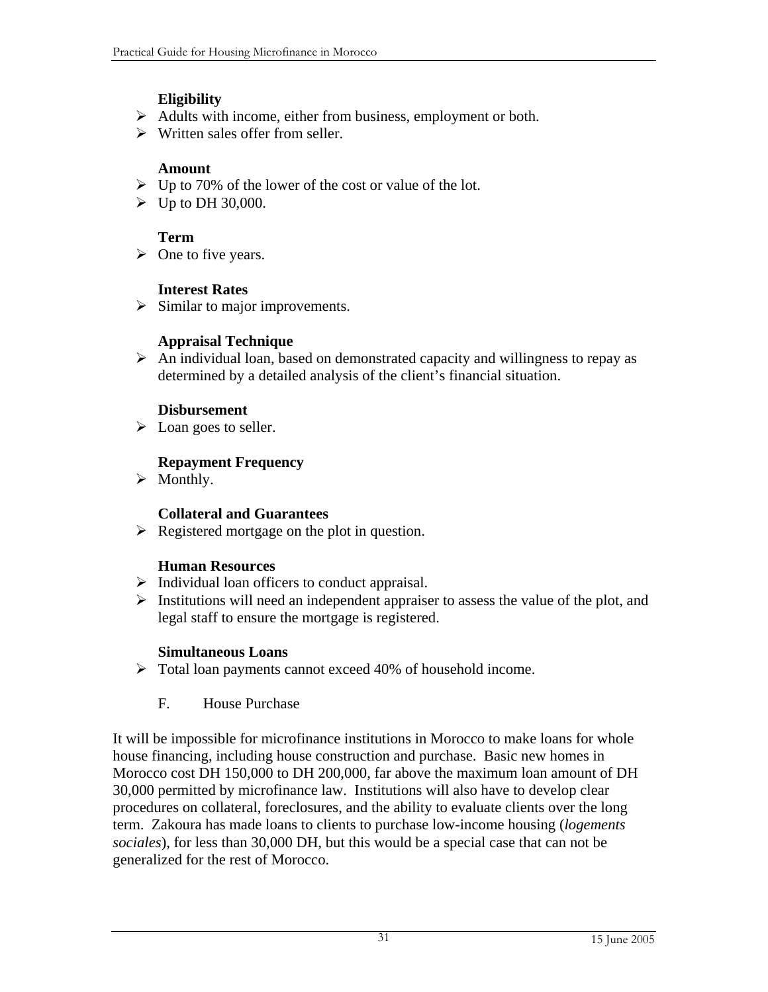# **Eligibility**

- ¾ Adults with income, either from business, employment or both.
- $\triangleright$  Written sales offer from seller.

### **Amount**

- $\triangleright$  Up to 70% of the lower of the cost or value of the lot.
- $\blacktriangleright$  Up to DH 30,000.

### **Term**

 $\triangleright$  One to five years.

# **Interest Rates**

 $\triangleright$  Similar to major improvements.

# **Appraisal Technique**

 $\triangleright$  An individual loan, based on demonstrated capacity and willingness to repay as determined by a detailed analysis of the client's financial situation.

# **Disbursement**

 $\triangleright$  Loan goes to seller.

# **Repayment Frequency**

 $\triangleright$  Monthly.

# **Collateral and Guarantees**

 $\triangleright$  Registered mortgage on the plot in question.

# **Human Resources**

- $\triangleright$  Individual loan officers to conduct appraisal.
- $\triangleright$  Institutions will need an independent appraiser to assess the value of the plot, and legal staff to ensure the mortgage is registered.

# **Simultaneous Loans**

- ¾ Total loan payments cannot exceed 40% of household income.
	- F. House Purchase

It will be impossible for microfinance institutions in Morocco to make loans for whole house financing, including house construction and purchase. Basic new homes in Morocco cost DH 150,000 to DH 200,000, far above the maximum loan amount of DH 30,000 permitted by microfinance law. Institutions will also have to develop clear procedures on collateral, foreclosures, and the ability to evaluate clients over the long term. Zakoura has made loans to clients to purchase low-income housing (*logements sociales*), for less than 30,000 DH, but this would be a special case that can not be generalized for the rest of Morocco.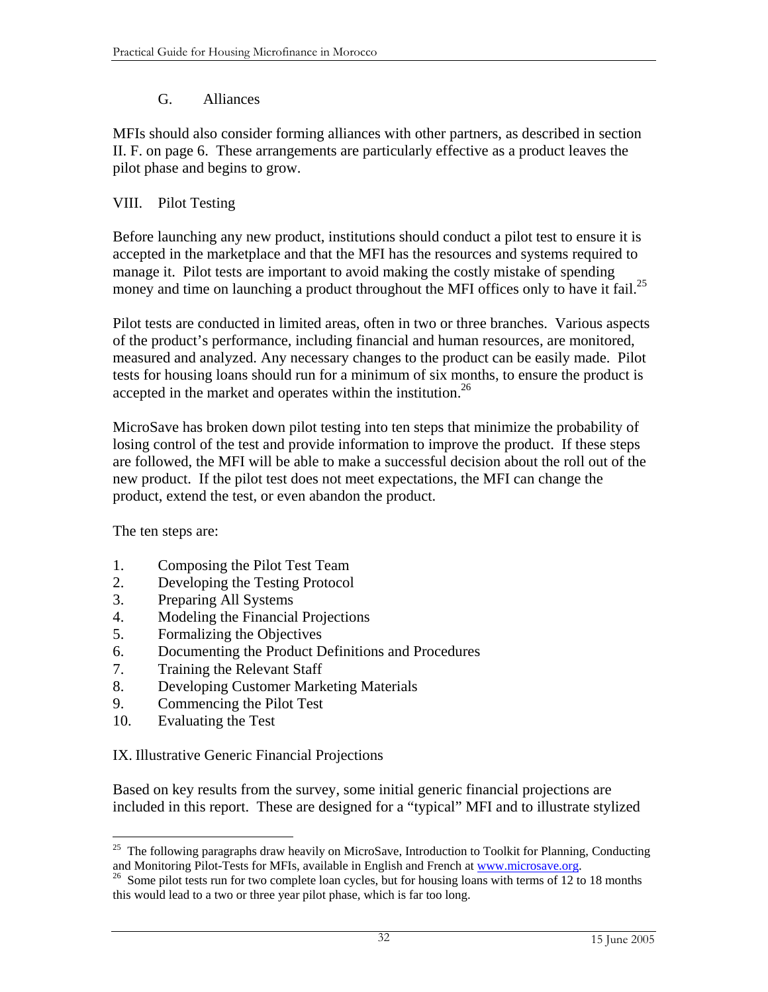### G. Alliances

MFIs should also consider forming alliances with other partners, as described in section II. F. on page 6. These arrangements are particularly effective as a product leaves the pilot phase and begins to grow.

# VIII. Pilot Testing

Before launching any new product, institutions should conduct a pilot test to ensure it is accepted in the marketplace and that the MFI has the resources and systems required to manage it. Pilot tests are important to avoid making the costly mistake of spending money and time on launching a product throughout the MFI offices only to have it fail.<sup>25</sup>

Pilot tests are conducted in limited areas, often in two or three branches. Various aspects of the product's performance, including financial and human resources, are monitored, measured and analyzed. Any necessary changes to the product can be easily made. Pilot tests for housing loans should run for a minimum of six months, to ensure the product is accepted in the market and operates within the institution.<sup>26</sup>

MicroSave has broken down pilot testing into ten steps that minimize the probability of losing control of the test and provide information to improve the product. If these steps are followed, the MFI will be able to make a successful decision about the roll out of the new product. If the pilot test does not meet expectations, the MFI can change the product, extend the test, or even abandon the product.

The ten steps are:

- 1. Composing the Pilot Test Team
- 2. Developing the Testing Protocol
- 3. Preparing All Systems
- 4. Modeling the Financial Projections
- 5. Formalizing the Objectives
- 6. Documenting the Product Definitions and Procedures
- 7. Training the Relevant Staff
- 8. Developing Customer Marketing Materials
- 9. Commencing the Pilot Test
- 10. Evaluating the Test

IX. Illustrative Generic Financial Projections

Based on key results from the survey, some initial generic financial projections are included in this report. These are designed for a "typical" MFI and to illustrate stylized

 $\overline{a}$ <sup>25</sup> The following paragraphs draw heavily on MicroSave, Introduction to Toolkit for Planning, Conducting and Monitoring Pilot-Tests for MFIs, available in English and French at  $\frac{www.microsave.org}{m}$ .

and Monitoring Pilot-Tests for MFIs, and French at wave.  $\frac{1}{26}$  Some pilot tests run for two complete loan cycles, but for housing loans with terms of 12 to 18 months this would lead to a two or three year pilot phase, which is far too long.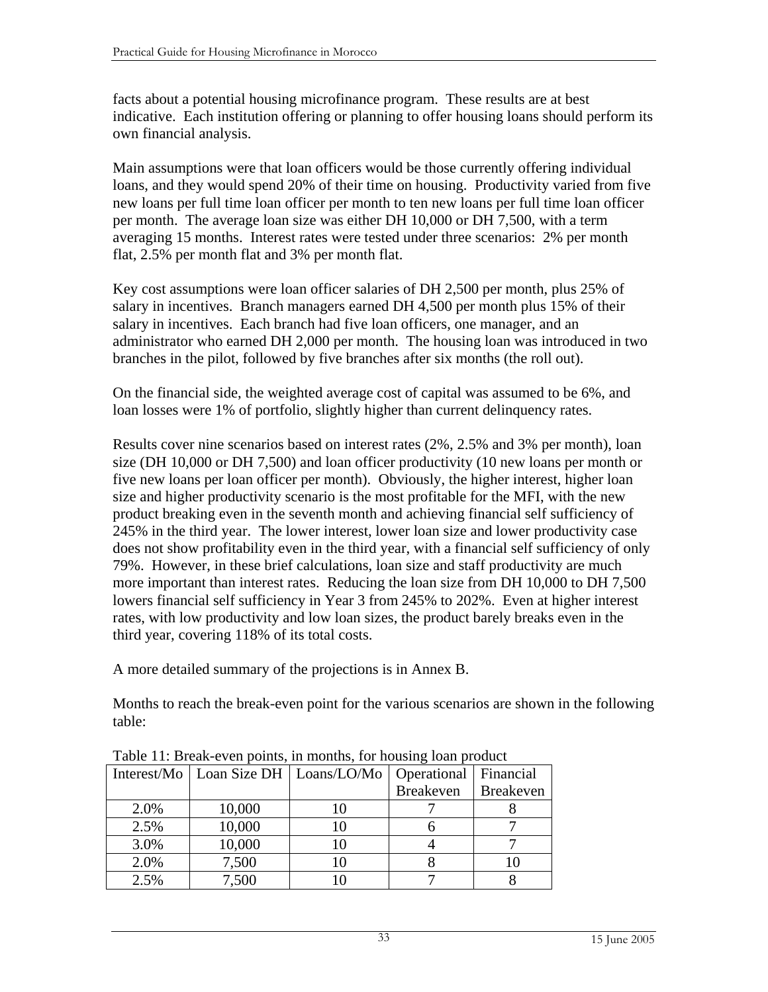facts about a potential housing microfinance program. These results are at best indicative. Each institution offering or planning to offer housing loans should perform its own financial analysis.

Main assumptions were that loan officers would be those currently offering individual loans, and they would spend 20% of their time on housing. Productivity varied from five new loans per full time loan officer per month to ten new loans per full time loan officer per month. The average loan size was either DH 10,000 or DH 7,500, with a term averaging 15 months. Interest rates were tested under three scenarios: 2% per month flat, 2.5% per month flat and 3% per month flat.

Key cost assumptions were loan officer salaries of DH 2,500 per month, plus 25% of salary in incentives. Branch managers earned DH 4,500 per month plus 15% of their salary in incentives. Each branch had five loan officers, one manager, and an administrator who earned DH 2,000 per month. The housing loan was introduced in two branches in the pilot, followed by five branches after six months (the roll out).

On the financial side, the weighted average cost of capital was assumed to be 6%, and loan losses were 1% of portfolio, slightly higher than current delinquency rates.

Results cover nine scenarios based on interest rates (2%, 2.5% and 3% per month), loan size (DH 10,000 or DH 7,500) and loan officer productivity (10 new loans per month or five new loans per loan officer per month). Obviously, the higher interest, higher loan size and higher productivity scenario is the most profitable for the MFI, with the new product breaking even in the seventh month and achieving financial self sufficiency of 245% in the third year. The lower interest, lower loan size and lower productivity case does not show profitability even in the third year, with a financial self sufficiency of only 79%. However, in these brief calculations, loan size and staff productivity are much more important than interest rates. Reducing the loan size from DH 10,000 to DH 7,500 lowers financial self sufficiency in Year 3 from 245% to 202%. Even at higher interest rates, with low productivity and low loan sizes, the product barely breaks even in the third year, covering 118% of its total costs.

A more detailed summary of the projections is in Annex B.

Months to reach the break-even point for the various scenarios are shown in the following table:

| Table 11. Dreak even points, in months, for nousing foan product |                                          |  |                  |                  |  |  |  |  |  |
|------------------------------------------------------------------|------------------------------------------|--|------------------|------------------|--|--|--|--|--|
|                                                                  | Interest/Mo   Loan Size DH   Loans/LO/Mo |  | Operational      | Financial        |  |  |  |  |  |
|                                                                  |                                          |  | <b>Breakeven</b> | <b>Breakeven</b> |  |  |  |  |  |
| 2.0%                                                             | 10,000                                   |  |                  |                  |  |  |  |  |  |
| 2.5%                                                             | 10,000                                   |  |                  |                  |  |  |  |  |  |
| 3.0%                                                             | 10,000                                   |  |                  |                  |  |  |  |  |  |
| 2.0%                                                             | 7,500                                    |  |                  |                  |  |  |  |  |  |
| 2.5%                                                             | 7,500                                    |  |                  |                  |  |  |  |  |  |

Table 11: Break-even points, in months, for housing loan product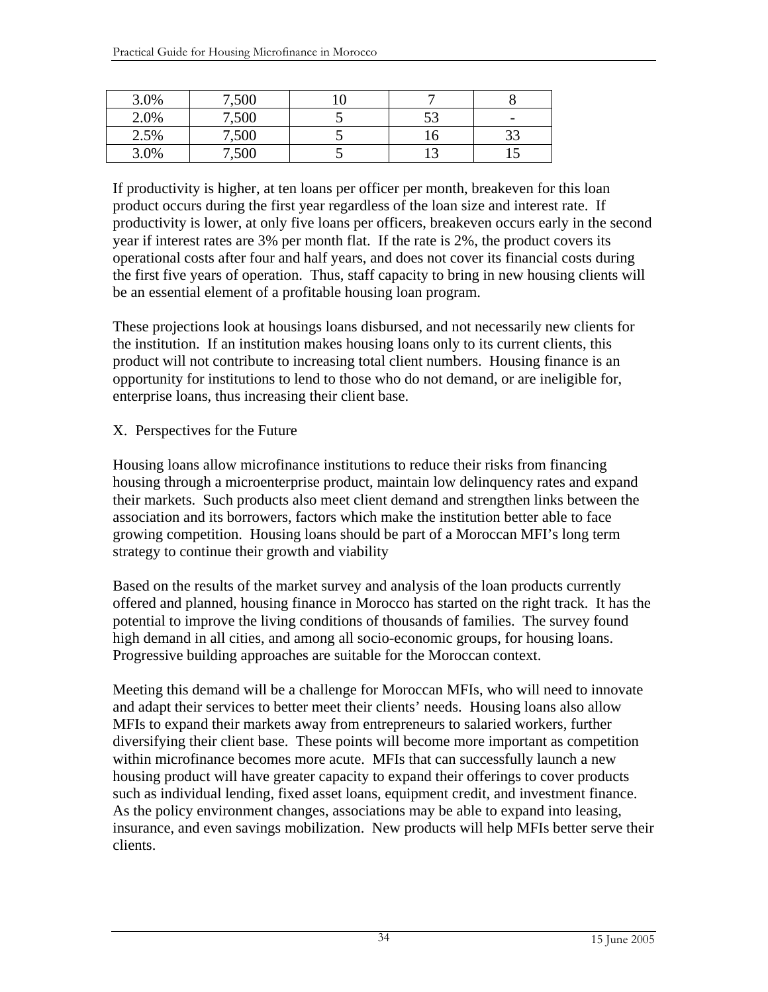| 3.0% | 7,500 |    |    |
|------|-------|----|----|
| 2.0% | 7,500 | 53 |    |
| 2.5% | 7,500 |    | 33 |
| 3.0% | 7,500 |    |    |

If productivity is higher, at ten loans per officer per month, breakeven for this loan product occurs during the first year regardless of the loan size and interest rate. If productivity is lower, at only five loans per officers, breakeven occurs early in the second year if interest rates are 3% per month flat. If the rate is 2%, the product covers its operational costs after four and half years, and does not cover its financial costs during the first five years of operation. Thus, staff capacity to bring in new housing clients will be an essential element of a profitable housing loan program.

These projections look at housings loans disbursed, and not necessarily new clients for the institution. If an institution makes housing loans only to its current clients, this product will not contribute to increasing total client numbers. Housing finance is an opportunity for institutions to lend to those who do not demand, or are ineligible for, enterprise loans, thus increasing their client base.

### X. Perspectives for the Future

Housing loans allow microfinance institutions to reduce their risks from financing housing through a microenterprise product, maintain low delinquency rates and expand their markets. Such products also meet client demand and strengthen links between the association and its borrowers, factors which make the institution better able to face growing competition. Housing loans should be part of a Moroccan MFI's long term strategy to continue their growth and viability

Based on the results of the market survey and analysis of the loan products currently offered and planned, housing finance in Morocco has started on the right track. It has the potential to improve the living conditions of thousands of families. The survey found high demand in all cities, and among all socio-economic groups, for housing loans. Progressive building approaches are suitable for the Moroccan context.

Meeting this demand will be a challenge for Moroccan MFIs, who will need to innovate and adapt their services to better meet their clients' needs. Housing loans also allow MFIs to expand their markets away from entrepreneurs to salaried workers, further diversifying their client base. These points will become more important as competition within microfinance becomes more acute. MFIs that can successfully launch a new housing product will have greater capacity to expand their offerings to cover products such as individual lending, fixed asset loans, equipment credit, and investment finance. As the policy environment changes, associations may be able to expand into leasing, insurance, and even savings mobilization. New products will help MFIs better serve their clients.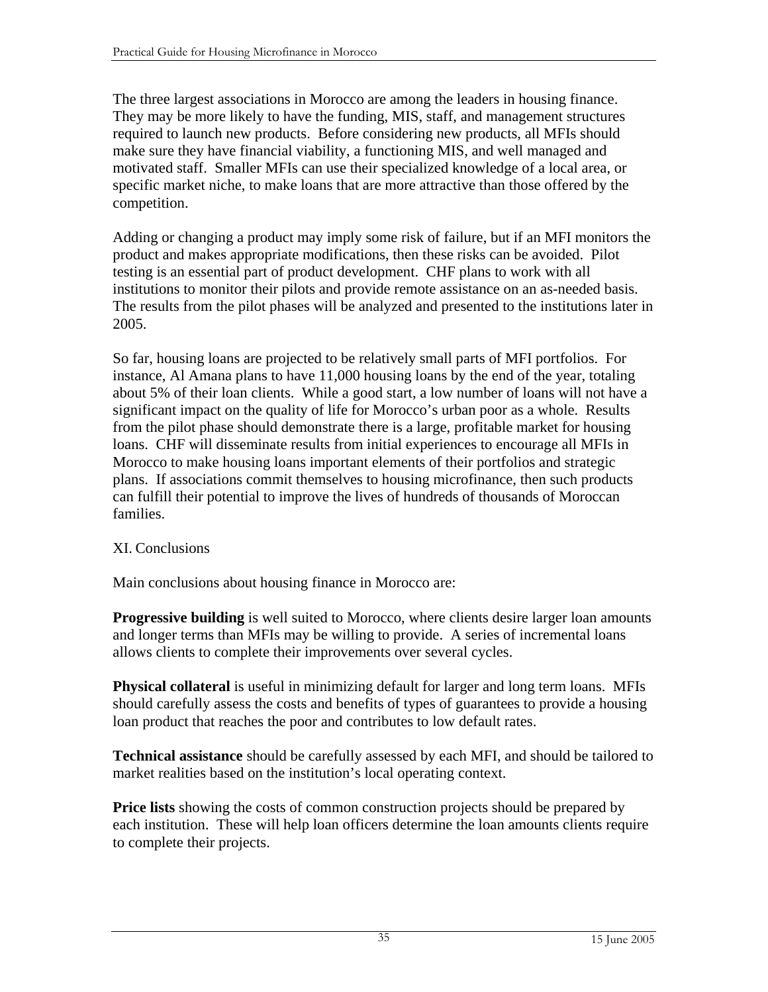The three largest associations in Morocco are among the leaders in housing finance. They may be more likely to have the funding, MIS, staff, and management structures required to launch new products. Before considering new products, all MFIs should make sure they have financial viability, a functioning MIS, and well managed and motivated staff. Smaller MFIs can use their specialized knowledge of a local area, or specific market niche, to make loans that are more attractive than those offered by the competition.

Adding or changing a product may imply some risk of failure, but if an MFI monitors the product and makes appropriate modifications, then these risks can be avoided. Pilot testing is an essential part of product development. CHF plans to work with all institutions to monitor their pilots and provide remote assistance on an as-needed basis. The results from the pilot phases will be analyzed and presented to the institutions later in 2005.

So far, housing loans are projected to be relatively small parts of MFI portfolios. For instance, Al Amana plans to have 11,000 housing loans by the end of the year, totaling about 5% of their loan clients. While a good start, a low number of loans will not have a significant impact on the quality of life for Morocco's urban poor as a whole. Results from the pilot phase should demonstrate there is a large, profitable market for housing loans. CHF will disseminate results from initial experiences to encourage all MFIs in Morocco to make housing loans important elements of their portfolios and strategic plans. If associations commit themselves to housing microfinance, then such products can fulfill their potential to improve the lives of hundreds of thousands of Moroccan families.

# XI. Conclusions

Main conclusions about housing finance in Morocco are:

**Progressive building** is well suited to Morocco, where clients desire larger loan amounts and longer terms than MFIs may be willing to provide. A series of incremental loans allows clients to complete their improvements over several cycles.

**Physical collateral** is useful in minimizing default for larger and long term loans. MFIs should carefully assess the costs and benefits of types of guarantees to provide a housing loan product that reaches the poor and contributes to low default rates.

**Technical assistance** should be carefully assessed by each MFI, and should be tailored to market realities based on the institution's local operating context.

**Price lists** showing the costs of common construction projects should be prepared by each institution. These will help loan officers determine the loan amounts clients require to complete their projects.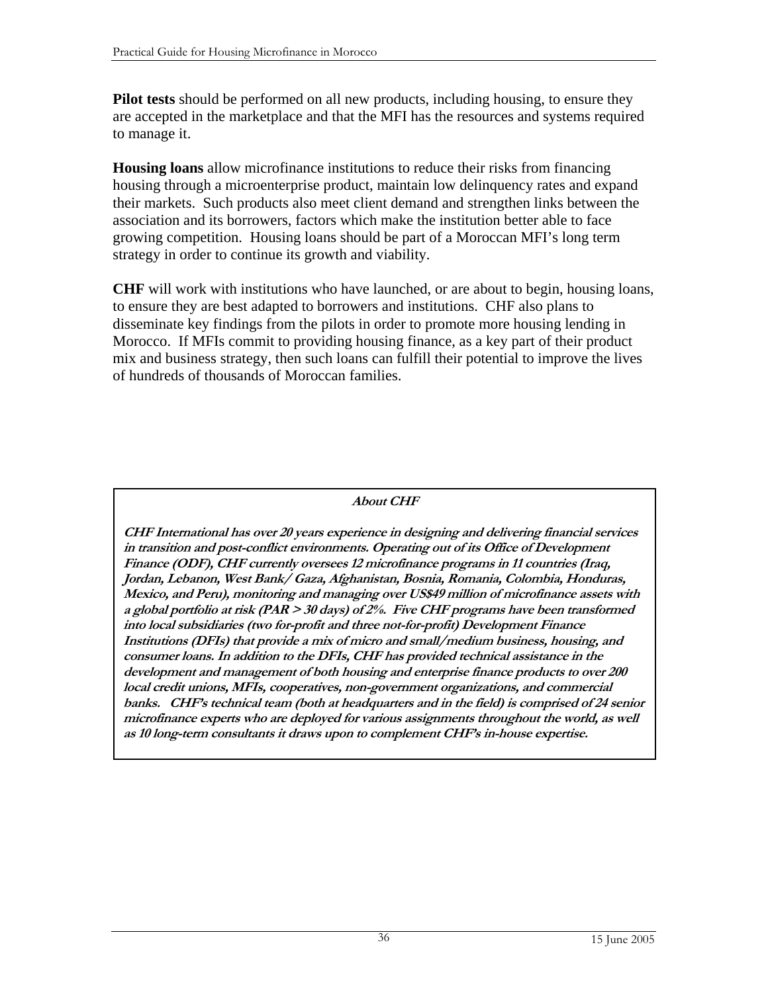**Pilot tests** should be performed on all new products, including housing, to ensure they are accepted in the marketplace and that the MFI has the resources and systems required to manage it.

**Housing loans** allow microfinance institutions to reduce their risks from financing housing through a microenterprise product, maintain low delinquency rates and expand their markets. Such products also meet client demand and strengthen links between the association and its borrowers, factors which make the institution better able to face growing competition. Housing loans should be part of a Moroccan MFI's long term strategy in order to continue its growth and viability.

**CHF** will work with institutions who have launched, or are about to begin, housing loans, to ensure they are best adapted to borrowers and institutions. CHF also plans to disseminate key findings from the pilots in order to promote more housing lending in Morocco. If MFIs commit to providing housing finance, as a key part of their product mix and business strategy, then such loans can fulfill their potential to improve the lives of hundreds of thousands of Moroccan families.

#### **About CHF**

**CHF International has over 20 years experience in designing and delivering financial services in transition and post-conflict environments. Operating out of its Office of Development Finance (ODF), CHF currently oversees 12 microfinance programs in 11 countries (Iraq, Jordan, Lebanon, West Bank/ Gaza, Afghanistan, Bosnia, Romania, Colombia, Honduras, Mexico, and Peru), monitoring and managing over US\$49 million of microfinance assets with a global portfolio at risk (PAR > 30 days) of 2%. Five CHF programs have been transformed into local subsidiaries (two for-profit and three not-for-profit) Development Finance Institutions (DFIs) that provide a mix of micro and small/medium business, housing, and consumer loans. In addition to the DFIs, CHF has provided technical assistance in the development and management of both housing and enterprise finance products to over 200 local credit unions, MFIs, cooperatives, non-government organizations, and commercial banks. CHF's technical team (both at headquarters and in the field) is comprised of 24 senior microfinance experts who are deployed for various assignments throughout the world, as well as 10 long-term consultants it draws upon to complement CHF's in-house expertise.**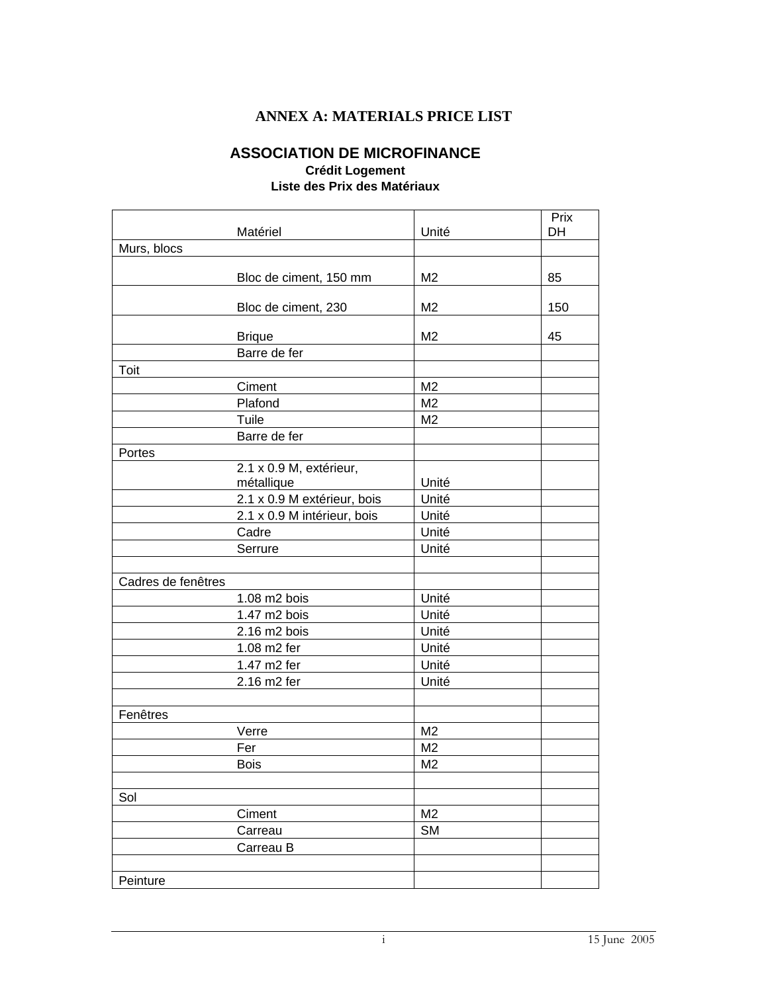### **ANNEX A: MATERIALS PRICE LIST**

#### **ASSOCIATION DE MICROFINANCE Crédit Logement**

#### **Liste des Prix des Matériaux**

|                    | Matériel                              | Unité          | Prix<br>DH |
|--------------------|---------------------------------------|----------------|------------|
| Murs, blocs        |                                       |                |            |
|                    |                                       |                |            |
|                    | Bloc de ciment, 150 mm                | M <sub>2</sub> | 85         |
|                    | Bloc de ciment, 230                   | M <sub>2</sub> | 150        |
|                    | <b>Brique</b>                         | M <sub>2</sub> | 45         |
|                    | Barre de fer                          |                |            |
| Toit               |                                       |                |            |
|                    | Ciment                                | M <sub>2</sub> |            |
|                    | Plafond                               | M <sub>2</sub> |            |
|                    | Tuile                                 | M <sub>2</sub> |            |
|                    | Barre de fer                          |                |            |
| Portes             |                                       |                |            |
|                    | 2.1 x 0.9 M, extérieur,<br>métallique | Unité          |            |
|                    | 2.1 x 0.9 M extérieur, bois           | Unité          |            |
|                    | 2.1 x 0.9 M intérieur, bois           | Unité          |            |
|                    | Cadre                                 | Unité          |            |
|                    | Serrure                               | Unité          |            |
|                    |                                       |                |            |
| Cadres de fenêtres |                                       |                |            |
|                    | 1.08 m2 bois                          | Unité          |            |
|                    | 1.47 m2 bois                          | Unité          |            |
|                    | 2.16 m2 bois                          | Unité          |            |
|                    | 1.08 m2 fer                           | Unité          |            |
|                    | 1.47 m2 fer                           | Unité          |            |
|                    | 2.16 m2 fer                           | Unité          |            |
|                    |                                       |                |            |
| Fenêtres           |                                       |                |            |
|                    | Verre                                 | M <sub>2</sub> |            |
|                    | Fer                                   | M <sub>2</sub> |            |
|                    | <b>Bois</b>                           | M <sub>2</sub> |            |
|                    |                                       |                |            |
| Sol                |                                       |                |            |
|                    | Ciment                                | M <sub>2</sub> |            |
|                    | Carreau                               | <b>SM</b>      |            |
|                    | Carreau B                             |                |            |
|                    |                                       |                |            |
| Peinture           |                                       |                |            |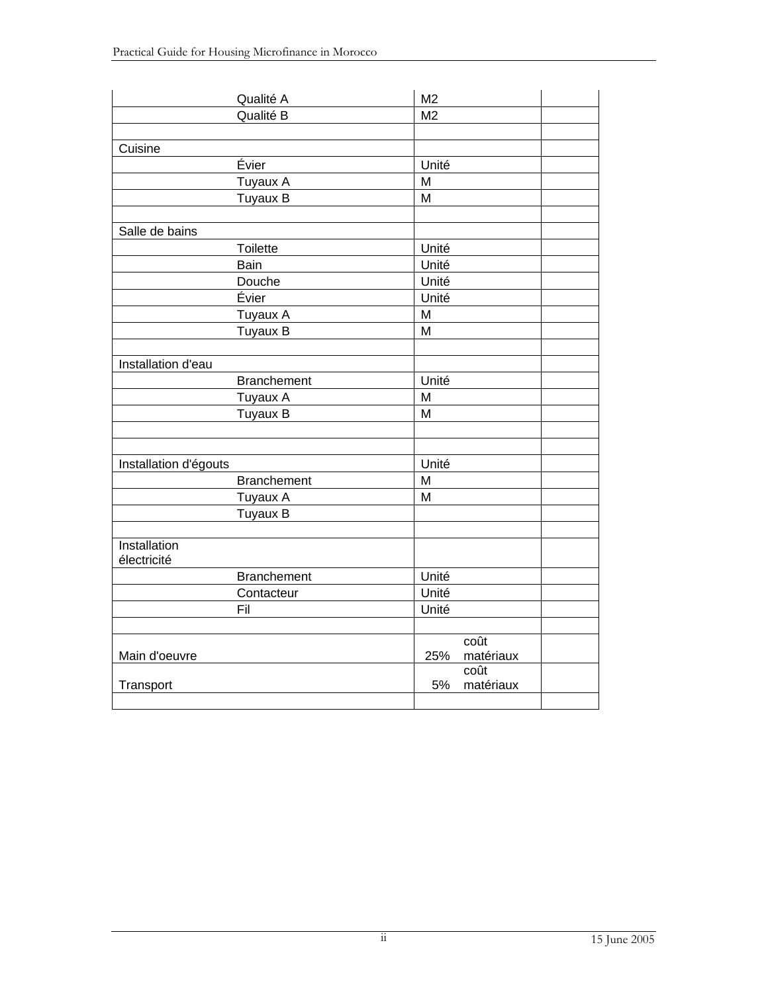| Qualité A             | M <sub>2</sub>   |  |
|-----------------------|------------------|--|
| Qualité B             | M <sub>2</sub>   |  |
|                       |                  |  |
| Cuisine               |                  |  |
| Evier                 | Unité            |  |
| Tuyaux A              | M                |  |
| Tuyaux B              | M                |  |
|                       |                  |  |
| Salle de bains        |                  |  |
| <b>Toilette</b>       | Unité            |  |
| Bain                  | Unité            |  |
| Douche                | Unité            |  |
| Évier                 | Unité            |  |
| Tuyaux A              | M                |  |
| Tuyaux B              | M                |  |
|                       |                  |  |
| Installation d'eau    |                  |  |
| <b>Branchement</b>    | Unité            |  |
| Tuyaux A              | M                |  |
| Tuyaux B              | M                |  |
|                       |                  |  |
|                       |                  |  |
| Installation d'égouts | Unité            |  |
| <b>Branchement</b>    | M                |  |
| Tuyaux A              | M                |  |
| Tuyaux B              |                  |  |
| Installation          |                  |  |
| électricité           |                  |  |
| <b>Branchement</b>    | Unité            |  |
| Contacteur            | Unité            |  |
| Fil                   | Unité            |  |
|                       |                  |  |
|                       | coût             |  |
| Main d'oeuvre         | 25%<br>matériaux |  |
|                       | coût             |  |
| Transport             | 5%<br>matériaux  |  |
|                       |                  |  |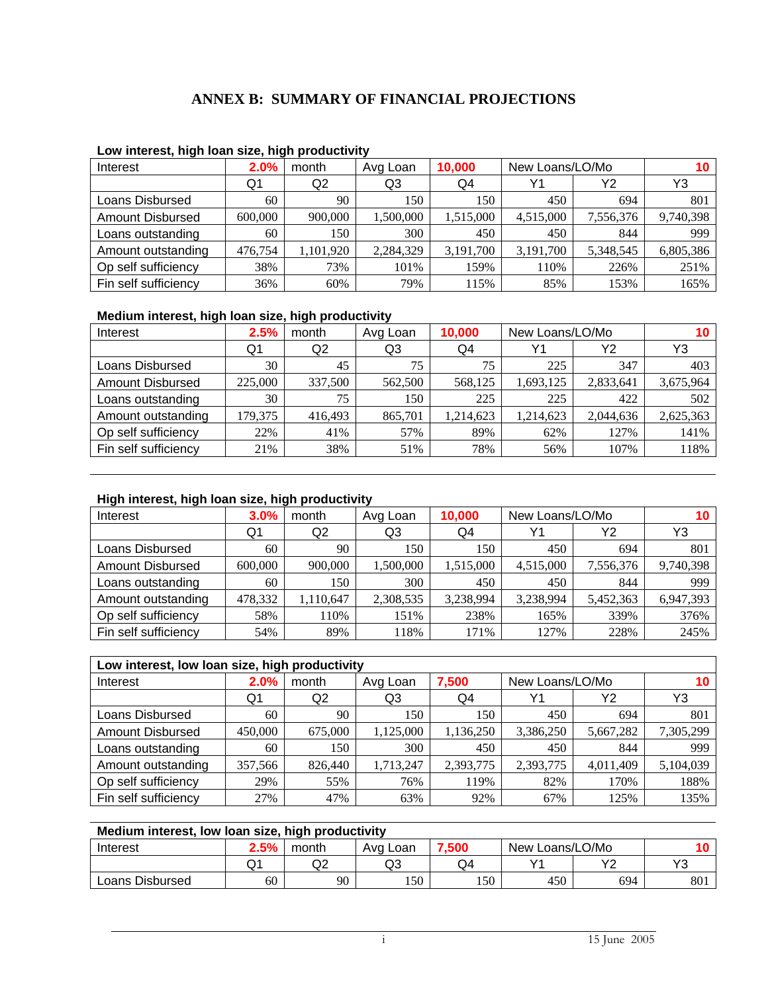#### **ANNEX B: SUMMARY OF FINANCIAL PROJECTIONS**

| Interest                | 2.0%    | month     | Avg Loan  | 10,000    | New Loans/LO/Mo |           | 10        |  |
|-------------------------|---------|-----------|-----------|-----------|-----------------|-----------|-----------|--|
|                         | Q1      | Q2        | Q3        | Q4        | Υ1              | Υ2        | Y3        |  |
| Loans Disbursed         | 60      | 90        | 150       | 150       | 450             | 694       | 801       |  |
| <b>Amount Disbursed</b> | 600,000 | 900,000   | 1,500,000 | 1,515,000 | 4,515,000       | 7,556,376 | 9,740,398 |  |
| Loans outstanding       | 60      | 150       | 300       | 450       | 450             | 844       | 999       |  |
| Amount outstanding      | 476,754 | 1,101,920 | 2,284,329 | 3,191,700 | 3,191,700       | 5,348,545 | 6,805,386 |  |
| Op self sufficiency     | 38%     | 73%       | 101%      | 159%      | 110%            | 226%      | 251%      |  |
| Fin self sufficiency    | 36%     | 60%       | 79%       | 115%      | 85%             | 153%      | 165%      |  |

#### **Low interest, high loan size, high productivity**

#### **Medium interest, high loan size, high productivity**

| Interest                | 2.5%    | month   | Avg Loan | 10,000    | New Loans/LO/Mo |           | 10        |
|-------------------------|---------|---------|----------|-----------|-----------------|-----------|-----------|
|                         | Q1      | Q2      | Q3       | Q4        | Y1              | Υ2        | Y3        |
| Loans Disbursed         | 30      | 45      | 75       | 75        | 225             | 347       | 403       |
| <b>Amount Disbursed</b> | 225,000 | 337,500 | 562,500  | 568,125   | 1,693,125       | 2,833,641 | 3,675,964 |
| Loans outstanding       | 30      | 75      | 150      | 225       | 225             | 422       | 502       |
| Amount outstanding      | 179,375 | 416,493 | 865,701  | 1.214.623 | 1,214,623       | 2.044.636 | 2,625,363 |
| Op self sufficiency     | 22%     | 41%     | 57%      | 89%       | 62%             | 127%      | 141%      |
| Fin self sufficiency    | 21%     | 38%     | 51%      | 78%       | 56%             | 107%      | 118%      |

#### **High interest, high loan size, high productivity**

| Interest                | 3.0%    | month     | Avg Loan  | 10,000    | New Loans/LO/Mo |           | 10        |
|-------------------------|---------|-----------|-----------|-----------|-----------------|-----------|-----------|
|                         | Q1      | Q2        | Q3        | Q4        | Υ1              | Υ2        | Y3        |
| <b>Loans Disbursed</b>  | 60      | 90        | 150       | 150       | 450             | 694       | 801       |
| <b>Amount Disbursed</b> | 600,000 | 900,000   | 1,500,000 | 1.515.000 | 4,515,000       | 7,556,376 | 9,740,398 |
| Loans outstanding       | 60      | 150       | 300       | 450       | 450             | 844       | 999       |
| Amount outstanding      | 478,332 | 1,110,647 | 2,308,535 | 3,238,994 | 3,238,994       | 5,452,363 | 6,947,393 |
| Op self sufficiency     | 58%     | 110%      | 151%      | 238%      | 165%            | 339%      | 376%      |
| Fin self sufficiency    | 54%     | 89%       | 18%       | 171%      | 127%            | 228%      | 245%      |

| Low interest, low loan size, high productivity |         |         |           |           |                 |           |           |  |  |
|------------------------------------------------|---------|---------|-----------|-----------|-----------------|-----------|-----------|--|--|
| Interest                                       | 2.0%    | month   | Avg Loan  | 7,500     | New Loans/LO/Mo |           |           |  |  |
|                                                | Q1      | Q2      | Q3        | Q4        | Υ1              | Υ2        | Y3        |  |  |
| Loans Disbursed                                | 60      | 90      | 150       | 150       | 450             | 694       | 801       |  |  |
| <b>Amount Disbursed</b>                        | 450,000 | 675,000 | 1,125,000 | 1,136,250 | 3,386,250       | 5,667,282 | 7,305,299 |  |  |
| Loans outstanding                              | 60      | 150     | 300       | 450       | 450             | 844       | 999       |  |  |
| Amount outstanding                             | 357.566 | 826,440 | 1,713,247 | 2,393,775 | 2,393,775       | 4.011.409 | 5,104,039 |  |  |
| Op self sufficiency                            | 29%     | 55%     | 76%       | 119%      | 82%             | 170%      | 188%      |  |  |
| Fin self sufficiency                           | 27%     | 47%     | 63%       | 92%       | 67%             | 125%      | 135%      |  |  |

#### **Medium interest, low loan size, high productivity**

| Interest        | 2.5%                      | month | Loan<br>Ava | .500 | New Loans/LO/Mo          |                  |           |
|-----------------|---------------------------|-------|-------------|------|--------------------------|------------------|-----------|
|                 | $\boldsymbol{\mathsf{x}}$ | w     | Q3          | Q4   | $\overline{\phantom{a}}$ | $\sqrt{2}$<br>-- | vo<br>ں ، |
| Loans Disbursed | 60                        | 90    | 150         | 150  | 450                      | 694              | 801       |